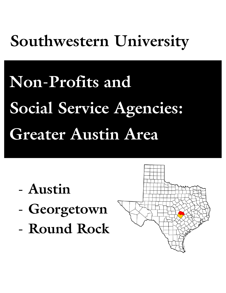# **Southwestern University**

# **Non-Profits and Social Service Agencies: Greater Austin Area**

- **Austin**
- **Georgetown**
- **Round Rock**

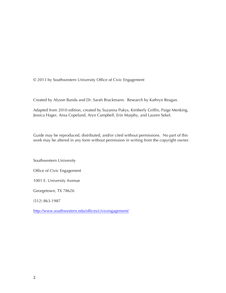© 2013 by Southwestern University Office of Civic Engagement

Created by Alyson Banda and Dr. Sarah Brackmann. Research by Kathryn Reagan.

Adapted from 2010 edition, created by Suzanna Pukys, Kimberly Griffin, Paige Menking, Jessica Hager, Ansa Copeland, Aryn Campbell, Erin Murphy, and Lauren Sekel.

Guide may be reproduced, distributed, and/or cited without permissions. No part of this work may be altered in any form without permission in writing from the copyright owner.

Southwestern University

Office of Civic Engagement

1001 E. University Avenue

Georgetown, TX 78626

(512) 863-1987

http://www.southwestern.edu/offices/civicengagement/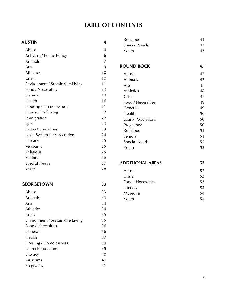# **TABLE OF CONTENTS**

| <b>AUSTIN</b><br>4               |    |  |
|----------------------------------|----|--|
| Abuse                            | 4  |  |
| Activism / Public Policy         | 6  |  |
| Animals                          | 7  |  |
| Arts                             | 9  |  |
| <b>Athletics</b>                 | 10 |  |
| Crisis                           | 10 |  |
| Environment / Sustainable Living | 11 |  |
| Food / Necessities               | 13 |  |
| General                          | 14 |  |
| Health                           | 16 |  |
| Housing / Homelessness           | 21 |  |
| Human Trafficking                | 22 |  |
| Immigration                      | 22 |  |
| Lgbt                             | 23 |  |
| Latina Populations               | 23 |  |
| Legal System / Incarceration     | 24 |  |
| Literacy                         | 25 |  |
| Museums                          | 25 |  |
| Religious                        | 25 |  |
| Seniors                          | 26 |  |
| Special Needs                    | 27 |  |
| Youth                            | 28 |  |

#### **GEORGETOWN 33**

| Abuse                            | 33 |
|----------------------------------|----|
| Animals                          | 33 |
| Arts                             | 34 |
| <b>Athletics</b>                 | 34 |
| Crisis                           | 35 |
| Environment / Sustainable Living | 35 |
| Food / Necessities               | 36 |
| General                          | 36 |
| Health                           | 37 |
| Housing / Homelessness           | 39 |
| Latina Populations               | 39 |
| Literacy                         | 40 |
| Museums                          | 40 |
| Pregnancy                        | 41 |

| Religious     |    |
|---------------|----|
| Special Needs | 43 |
| Youth         | 43 |

#### **ROUND ROCK 47**

| Abuse              | 47 |
|--------------------|----|
| Animals            | 47 |
| Arts               | 47 |
| <b>Athletics</b>   | 48 |
| Crisis             | 48 |
| Food / Necessities | 49 |
| General            | 49 |
| Health             | 50 |
| Latina Populations | 50 |
| Pregnancy          | 50 |
| Religious          | 51 |
| Seniors            | 51 |
| Special Needs      | 52 |
| Youth              | 52 |
|                    |    |

### **ADDITIONAL AREAS 53**

| Abuse              | 53 |
|--------------------|----|
| Crisis             | 53 |
| Food / Necessities | 53 |
| Literacy           | 53 |
| Museums            | 54 |
| Youth              | 54 |
|                    |    |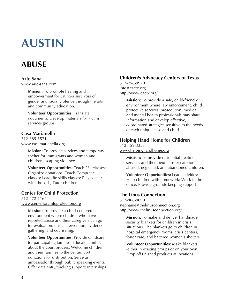# **AUSTIN**

# **ABUSE**

#### **Arte Sana**

www.arte-sana.com

**Mission:** To promote healing and empowerment for Latino/a survivors of gender and racial violence through the arts and community education.

**Volunteer Opportunities:** Translate documents; Develop materials for victim services groups

# **Casa Marianella**

512-385-5571 www.casamarianella.org

> **Mission:** To provide services and temporary shelter for immigrants and women and children escaping violence.

**Volunteer Opportunities:** Teach ESL classes; Organize donations; Teach Computer classes; Lead life skills classes; Play soccer with the kids; Tutor children

# **Center for Child Protection**

512-472-1164 www.centerforchildprotection.org

> **Mission:** To provide a child-centered environment where children who have reported abuse and their caregivers can go for evaluation, crisis intervention, evidence gathering, and counseling.

**Volunteer Opportunities:** Provide childcare for participating families; Educate families about the court process; Welcome children and their families to the center; Sort donations for distribution; Serve as ambassador through public speaking events; Offer data entry/tracking support; Internships

# **Children's Advocacy Centers of Texas**

512-258-9920 info@cactx.org http://www.cactx.org/

> **Mission:** To provide a safe, child-friendly environment where law enforcement, child protective services, prosecution, medical and mental health professionals may share information and develop effective, coordinated strategies sensitive to the needs of each unique case and child.

# **Helping Hand Home for Children**

512-459-3353 www.helpinghandhome.org

> **Mission:** To provide residential treatment services and therapeutic foster care for abused, neglected, and abandoned children.

**Volunteer Opportunities:** Lead activities; Help children with homework; Work in the office; Provide grounds-keeping support

# **The Linus Connection**

512-868-9090 stephanie@thelinusconnection.org http://www.thelinusconnection.org/

**Mission:** To make and deliver handmade security blankets for children in crisis situations. The blankets go to children in hospital emergency rooms, crisis centers, foster care, and battered women's shelters.

**Volunteer Opportunities:** Make blankets (either in existing groups or on your own); Drop off finished products at locations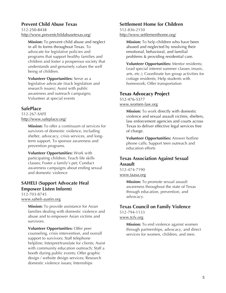#### **Prevent Child Abuse Texas**

512-250-8438 http://www.preventchildabusetexas.org/

**Mission:** To prevent child abuse and neglect in all its forms throughout Texas. To advocate for legislative policies and programs that support healthy families and children and foster a prosperous society that understands and genuinely values the well being of children.

**Volunteer Opportunities:** Serve as a legislative advocate (track legislation and research issues); Assist with public awareness and outreach campaigns; Volunteer at special events

# **SafePlace**

512-267-SAFE http://www.safeplace.org/

> **Mission:** To offer a continuum of services for survivors of domestic violence, including shelter, advocacy, crisis services, and longterm support. To sponsor awareness and prevention programs.

**Volunteer Opportunities:** Work with participating children; Teach life skills classes; Foster a family's pet; Conduct awareness campaigns about ending sexual and domestic violence

# **SAHELI (Support Advocate Heal Empower Listen Inform)**

512-703-8745 www.saheli-austin.org

> **Mission:** To provide assistance for Asian families dealing with domestic violence and abuse and to empower Asian victims and survivors.

> **Volunteer Opportunities:** Offer peer counseling, crisis intervention, and overall support to survivors; Staff telephone helpline; Interpret/translate for clients; Assist with community education outreach; Staff a booth during public events; Offer graphic design / website design services; Research domestic violence issues; Internships

#### **Settlement Home for Children**

512-836-2150 http://www.settlementhome.org/

> **Mission:** To help children who have been abused and neglected by resolving their emotional, behavioral, and familial problems & providing residential care.

**Volunteer Opportunities:** Mentor residents; Lead special interest summer classes (music, arts, etc.); Coordinate fun group activities for cottage residents; Help students with homework; Offer transportation

### **Texas Advocacy Project**

512-476-5377 www.women-law.org

> **Mission:** To work directly with domestic violence and sexual assault victims, shelters, law enforcement agencies and courts across Texas to deliver effective legal services free of charge.

**Volunteer Opportunities:** Answer hotline phone calls; Support teen outreach and education efforts

# **Texas Association Against Sexual Assault**

512-474-7190 www.taasa.org

> **Mission:** To promote sexual assault awareness throughout the state of Texas through education, prevention, and advocacy.

# **Texas Council on Family Violence**

512-794-1133 www.tcfv.org

> **Mission:** To end violence against women through partnerships, advocacy, and direct services for women, children, and men.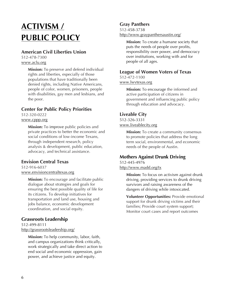# **ACTIVISM / PUBLIC POLICY**

# **American Civil Liberties Union**

512-478-7300 www.aclu.org

> **Mission:** To preserve and defend individual rights and liberties, especially of those populations that have traditionally been denied rights, including Native Americans, people of color, women, prisoners, people with disabilities, gay men and lesbians, and the poor.

# **Center for Public Policy Priorities**

512-320-0222 www.cppp.org

> **Mission:** To improve public policies and private practices to better the economic and social conditions of low-income Texans, through independent research, policy analysis & development, public education, advocacy, and technical assistance.

# **Envision Central Texas**

512-916-6037 www.envisioncentraltexas.org

> **Mission:** To encourage and facilitate public dialogue about strategies and goals for ensuring the best possible quality of life for its citizens. To develop initiatives for transportation and land use, housing and jobs balance, economic development coordination, and social equity.

# **Grassroots Leadership**

512-499-8111 http://grassrootsleadership.org/

> **Mission:** To help community, labor, faith, and campus organizations think critically, work strategically and take direct action to end social and economic oppression, gain power, and achieve justice and equity.

# **Gray Panthers**

512-458-3738 http://www.graypanthersaustin.org/

> **Mission:** To create a humane society that puts the needs of people over profits, responsibility over power, and democracy over institutions, working with and for people of all ages.

# **League of Women Voters of Texas**

512-472-1100 www.lwvtexas.org

> **Mission:** To encourage the informed and active participation of citizens in government and influencing public policy through education and advocacy.

# **Liveable City**

512-326-3331 www.liveablecity.org

> **Mission:** To create a community consensus to promote policies that address the long term social, environmental, and economic needs of the people of Austin.

# **Mothers Against Drunk Driving**

512-445-4976 http://www.madd.org/tx

> **Mission:** To focus on activism against drunk driving, providing services to drunk driving survivors and raising awareness of the dangers of driving while intoxicated.

**Volunteer Opportunities:** Provide emotional support for drunk driving victims and their families; Provide court system support; Monitor court cases and report outcomes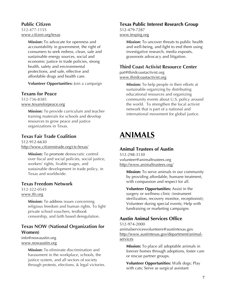### **Public Citizen**

512-477-1155 www.citizen.org/texas

> **Mission:** To advocate for openness and accountability in government, the right of consumers to seek redress, clean, safe and sustainable energy sources, social and economic justice in trade policies, strong health, safety and environmental protections, and safe, effective and affordable drugs and health care.

> **Volunteer Opportunities:** Join a campaign

#### **Texans for Peace**

512-736-8385 www.texansforpeace.org

> **Mission:** To provide curriculum and teacher training materials for schools and develop resources to grow peace and justice organizations in Texas.

### **Texas Fair Trade Coalition**

512-912-6630 http://www.citizenstrade.org/ctc/texas/

**Mission:** To promote democratic control over fiscal and social policies, social justice, workers' rights, livable wages, and sustainable development in trade policy, in Texas and worldwide.

# **Texas Freedom Network**

512-322-0545 www.tfn.org

> **Mission:** To address issues concerning religious freedom and human rights. To fight private school vouchers, textbook censorship, and faith based deregulation.

# **Texas NOW (National Organization for Women)**

info@nowaustin.org www.nowaustin.org

> **Mission:** To eliminate discrimination and harassment in the workplace, schools, the justice system, and all sectors of society through protests, elections, & legal victories.

### **Texas Public Interest Research Group**

512-479-7287 www.texpirg.org

> **Mission:** To uncover threats to public health and well-being, and fight to end them using investigative research, media exposés, grassroots advocacy and litigation.

# **Third Coast Activist Resource Center**

pat@thirdcoastactivist.org www.thirdcoastactivist.org

> **Mission:** To help people in their efforts at sustainable organizing by distributing educational resources and organizing community events about U.S. policy around the world. To strengthen the local activist network that is part of a national and international movement for global justice.

# **ANIMALS**

### **Animal Trustees of Austin**

512-298-3130 volunteer@animaltrustees.org http://www.animaltrustees.org/

> **Mission:** To serve animals in our community by providing affordable, humane treatment, with compassion and respect for all.

> **Volunteer Opportunities:** Assist in the surgery or wellness clinic (instrument sterilization, recovery monitor, receptionist); Volunteer during special events; Help with fundraising or marketing campaigns

# **Austin Animal Services Office**

512-974-2000 animalservicesvolunteers@austintexas.gov http://www.austintexas.gov/department/animalservices

**Mission:** To place all adoptable animals in forever homes through adoptions, foster care or rescue partner groups.

**Volunteer Opportunities:** Walk dogs; Play with cats; Serve as surgical assistant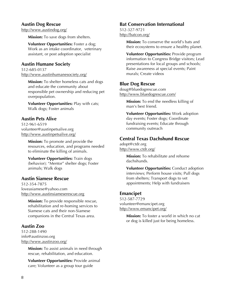#### **Austin Dog Rescue**

http://www.austindog.org/

**Mission:** To save dogs from shelters.

**Volunteer Opportunities:** Foster a dog; Work as an intake coordinator, veterinary assistant, or post adoption specialist

#### **Austin Humane Society**

512-685-0137 http://www.austinhumanesociety.org/

**Mission:** To shelter homeless cats and dogs and educate the community about responsible pet ownership and reducing pet overpopulation.

**Volunteer Opportunities:** Play with cats; Walk dogs; Foster animals

#### **Austin Pets Alive**

512-961-6519 volunteer@austinpetsalive.org http://www.austinpetsalive.org/

> **Mission:** To promote and provide the resources, education, and programs needed to eliminate the killing of animals.

**Volunteer Opportunities:** Train dogs (behavior); "Mentor" shelter dogs; Foster animals; Walk dogs

#### **Austin Siamese Rescue**

512-354-7875 loveasiamese@yahoo.com http://www.austinsiameserescue.org

> **Mission:** To provide responsible rescue, rehabilitation and re-homing services to Siamese cats and their non-Siamese companions in the Central Texas area.

#### **Austin Zoo**

512-288-1490 info@austinzoo.org http://www.austinzoo.org/

> **Mission:** To assist animals in need through rescue, rehabilitation, and education.

**Volunteer Opportunities:** Provide animal care; Volunteer as a group tour guide

#### **Bat Conservation International**

512-327-9721 http://batcon.org/

> **Mission:** To conserve the world's bats and their ecosystems to ensure a healthy planet.

**Volunteer Opportunities:** Provide program information to Congress Bridge visitors; Lead presentations for local groups and schools; Raise awareness at special events; Paint murals; Create videos

#### **Blue Dog Rescue**

doug@bluedogrescue.com http://www.bluedogrescue.com/

> **Mission:** To end the needless killing of man's best friend.

**Volunteer Opportunities:** Work adoption day events; Foster dogs; Coordinate fundraising events; Educate through community outreach

#### **Central Texas Dachshund Rescue**

adopt@ctdr.org http://www.ctdr.org/

> **Mission:** To rehabilitate and rehome dachshunds.

**Volunteer Opportunities:** Conduct adoption interviews; Perform house visits; Pull dogs from shelters; Transport dogs to vet appointments; Help with fundraisers

#### **Emancipet**

512-587-7729 volunteer@emancipet.org http://www.emancipet.org/

> **Mission:** To foster a world in which no cat or dog is killed just for being homeless.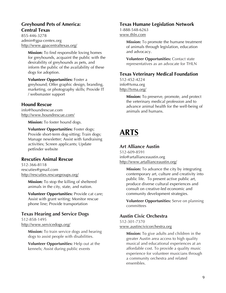# **Greyhound Pets of America: Central Texas**

855-446-3278 admin@gpa-centex.org http://www.gpacentraltexas.org/

> **Mission:** To find responsible loving homes for greyhounds, acquaint the public with the desirability of greyhounds as pets, and inform the public of the availability of these dogs for adoption.

**Volunteer Opportunities:** Foster a greyhound; Offer graphic design, branding, marketing, or photography skills; Provide IT / websmaster support

#### **Hound Rescue**

info@houndrescue.com http://www.houndrescue.com/

**Mission:** To foster hound dogs.

**Volunteer Opportunities:** Foster dogs; Provide short-term dog-sitting; Train dogs; Manage newsletter; Assist with fundraising activities; Screen applicants; Update petfinder website

#### **Rescuties Animal Rescue**

512-366-8118 rescuties@gmail.com http://rescuties.rescuegroups.org/

> **Mission:** To stop the killing of sheltered animals in the city, state, and nation.

**Volunteer Opportunities:** Provide cat care; Assist with grant writing; Monitor rescue phone line; Provide transportation

# **Texas Hearing and Service Dogs**

512-858-1495 http://www.servicedogs.org/

> **Mission:** To train service dogs and hearing dogs to assist people with disabilities.

**Volunteer Opportunities:** Help out at the kennels; Assist during public events

#### **Texas Humane Legislation Network**

1-888-548-6263 www.thln.com

> **Mission:** To promote the humane treatment of animals through legislation, education and advocacy.

**Volunteer Opportunities:** Contact state representatives as an advocate for THLN

#### **Texas Veterinary Medical Foundation**

512-452-4224 info@tvma.org http://tvma.org/

> **Mission:** To preserve, promote, and protect the veterinary medical profession and to advance animal health for the well-being of animals and humans.

# **ARTS**

#### **Art Alliance Austin**

512-609-8591 info@artallianceaustin.org http://www.artallianceaustin.org/

> **Mission:** To advance the city by integrating contemporary art, culture and creativity into public life. To present active public art, produce diverse cultural experiences and consult on creative-led economic and community development strategies.

> **Volunteer Opportunities:** Serve on planning committees

# **Austin Civic Orchestra**

512-301-7370 www.austincivicorchestra.org

> **Mission:** To give adults and children in the greater Austin area access to high quality musical and educational experiences at an affordable cost. To provide a quality music experience for volunteer musicians through a community orchestra and related ensembles.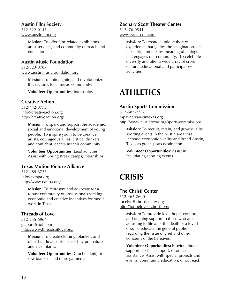#### **Austin Film Society**

512-322-0145 www.austinfilm.org

> **Mission:** To offer film-related exhibitions, artist services, and community outreach and education.

# **Austin Music Foundation**

512-323-0787 www.austinmusicfoundation.org

> **Mission:** To unite, ignite, and revolutionize this region's local music community.

**Volunteer Opportunities:** Internships

# **Creative Action**

512-442-8773 info@creativeaction.org http://creativeaction.org/

> **Mission:** To spark and support the academic, social and emotional development of young people. To inspire youth to be creative artists, courageous allies, critical thinkers, and confident leaders in their community.

**Volunteer Opportunities:** Lead activties; Assist with Spring Break camps; Internships

# **Texas Motion Picture Alliance**

512-489-6723 info@txmpa.org http://www.txmpa.org/

> **Mission:** To represent and advocate for a robust community of professionals seeking economic and creative incentives for media work in Texas.

#### **Threads of Love**

512-255-6964 gtabor8@aol.com http://www.threadsoflove.org/

> **Mission:** To create clothing, blankets and other handmade articles for tiny premature and sick infants.

> **Volunteer Opportunities:** Crochet, knit, or sew blankets and other garments

# **Zachary Scott Theater Center**

512476-0541 www.zachscott.com

> **Mission:** To create a unique theatre experience that ignites the imagination, lifts the spirit, and creates meaningful dialogue that engages our community. To celebrate diversity and offer a wide array of crosscultural educational and participatory activities.

# **ATHLETICS**

# **Austin Sports Commission**

512-583-7257 mpayne@austintexas.org http://www.austintexas.org/sports-commission/

**Mission:** To recruit, retain, and grow quality sporting events in the Austin area that increase economic vitality and brand Austin, Texas as great sports destination.

**Volunteer Opportunities:** Assist in facilitiating sporting events

# **CRISIS**

# **The Christi Center**

512-467-2600 jocelyn@christicenter.org http://fortheloveofchristi.org/

> **Mission:** To provide love, hope, comfort, and ongoing support to those who are adjusting to life after the death of a loved one. To educate the general public regarding the issue of grief and other concerns of the bereaved.

**Volunteer Opportunities:** Provide phone support, IT/Tech support, or office assistance; Assist with special projects and events, community education, or outreach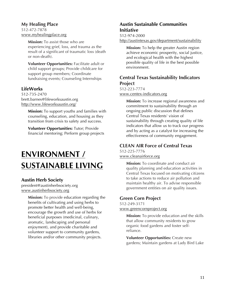#### **My Healing Place**

512-472-7878 www.myhealingplace.org

> **Mission:** To assist those who are experiencing grief, loss, and trauma as the result of a significant of traumatic loss (death or non-death).

**Volunteer Opportunities:** Facilitate adult or child support groups; Provide childcare for support group members; Coordinate fundraising events; Counseling Internships

# **LifeWorks**

512-735-2470 brett.barnes@lifeworksaustin.org http://www.lifeworksaustin.org/

> **Mission:** To support youths and families with counseling, education, and housing as they transition from crisis to safety and success.

**Volunteer Opportunities:** Tutor; Provide financial mentoring; Perform group projects

# **ENVIRONMENT / SUSTAINABLE LIVING**

# **Austin Herb Society**

president@austinherbsociety.org www.austinherbsociety.org

> **Mission:** To provide education regarding the benefits of cultivating and using herbs to promote better health and well-being, encourage the growth and use of herbs for beneficial purposes (medicinal, culinary, aromatic, landscaping and personal enjoyment), and provide charitable and volunteer support to community gardens, libraries and/or other community projects.

# **Austin Sustainable Communities Initiative**

#### 512-974-2000

http://austintexas.gov/department/sustainability

**Mission:** To help the greater Austin region achieve economic prosperity, social justice, and ecological health with the highest possible quality of life in the best possible environment.

### **Central Texas Sustainability Indicators Project**

512-223-7774 www.centex-indicators.org

> **Mission:** To increase regional awareness and commitment to sustainability through an ongoing public discussion that defines Central Texas residents' vision of sustainability through creating quality of life indicators that allow us to track our progress and by acting as a catalyst for increasing the effectiveness of community engagement.

# **CLEAN AIR Force of Central Texas**

512-225-7776 www.cleanairforce.org

> **Mission:** To coordinate and conduct air quality planning and education activities in Central Texas focused on motivating citizens to take actions to reduce air pollution and maintain healthy air. To advise responsible government entities on air quality issues.

# **Green Corn Project**

512-249-3171 www.greencornproject.org

> **Mission:** To provide education and the skills that allow community residents to grow organic food gardens and foster selfreliance.

> **Volunteer Opportunities:** Create new gardens; Maintain gardens at Lady Bird Lake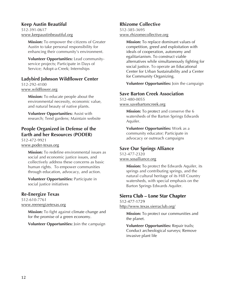#### **Keep Austin Beautiful**

512-391-0617 www.keepaustinbeautiful.org

> **Mission:** To empower the citizens of Greater Austin to take personal responsibility for enhancing their community's environment.

**Volunteer Opportunities:** Lead communityservice projects; Participate in Days of Service; Adopt-a-Creek; Internships

### **Ladybird Johnson Wildflower Center**

512-292-4100 www.wildflower.org

> **Mission:** To educate people about the environmental necessity, economic value, and natural beauty of native plants.

**Volunteer Opportunities:** Assist with research; Tend gardens; Maintain website

# **People Organized in Defense of the Earth and her Resources (PODER)**

512-472-9921 www.poder-texas.org

> **Mission:** To redefine environmental issues as social and economic justice issues, and collectively address these concerns as basic human rights. To empower communities through education, advocacy, and action.

**Volunteer Opportunities:** Participate in social justice initiatives

#### **Re-Energize Texas**

512-610-7761 www.reenergizetexas.org

> **Mission:** To fight against climate change and for the promise of a green economy.

**Volunteer Opportunities:** Join the campaign

# **Rhizome Collective**

512-385-3695 www.rhizomecollective.org

> **Mission:** To replace dominant values of competition, greed and exploitation with ideals of cooperation, autonomy and egalitarianism. To construct viable alternatives while simultaneously fighting for social justice. To operate an Educational Center for Urban Sustainability and a Center for Community Organizing.

> **Volunteer Opportunities:** Join the campaign

# **Save Barton Creek Association**

512-480-0055 www.savebartoncreek.org

> **Mission:** To protect and conserve the 6 watersheds of the Barton Springs Edwards Aquifer.

**Volunteer Opportunities:** Work as a community educator; Participate in advocacy or outreach campaigns

# **Save Our Springs Alliance**

512-477-2320 www.sosalliance.org

> **Mission:** To protect the Edwards Aquifer, its springs and contributing springs, and the natural cultural heritage of its Hill Country watersheds, with special emphasis on the Barton Springs Edwards Aquifer.

# **Sierra Club – Lone Star Chapter**

512-477-1729 http://www.texas.sierraclub.org/

> **Mission:** To protect our communities and the planet.

**Volunteer Opportunities:** Repair trails; Conduct archeological surveys; Remove invasive plant life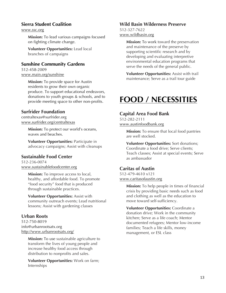### **Sierra Student Coalition**

www.ssc.org

**Mission:** To lead various campaigns focused on fighting climate change.

**Volunteer Opportunities:** Lead local branches of campaigns

#### **Sunshine Community Gardens**

512-458-2009 www.main.org/sunshine

> **Mission:** To provide space for Austin residents to grow their own organic produce. To support educational endeavors, donations to youth groups & schools, and to provide meeting space to other non-profits.

### **Surfrider Foundation**

centraltexas@surfrider.org www.surfrider.org/centraltexas

> **Mission:** To protect our world's oceans, waves and beaches.

**Volunteer Opportunities:** Participate in advocacy campaigns; Assist with cleanups

# **Sustainable Food Center**

512-236-0074 www.sustainablefoodcenter.org

> **Mission:** To improve access to local, healthy, and affordable food. To promote "food security" food that is produced through sustainable practices.

**Volunteer Opportunities:** Assist with community outreach events; Lead nutritional lessons; Assist with gardening classes

#### **Urban Roots**

512-750-8019 info@urbanrootsatx.org http://www.urbanrootsatx.org/

> **Mission:** To use sustainable agriculture to transform the lives of young people and increase healthy food access through distribution to nonprofits and sales.

**Volunteer Opportunities:** Work on farm; Internships

#### **Wild Basin Wilderness Preserve**

512-327-7622 www.wildbasin.org

> **Mission:** To work toward the preservation and maintenance of the preserve by supporting scientific research and by developing and evaluating interpretive environmental education programs that serve the needs of the general public.

> **Volunteer Opportunities:** Assist with trail maintenance; Serve as a trail tour guide

# **FOOD / NECESSITIES**

### **Capital Area Food Bank**

512-282-2111 www.austinfoodbank.org

> **Mission:** To ensure that local food pantries are well stocked.

**Volunteer Opportunities:** Sort donations; Coordinate a food drive; Serve clients; Teach classes; Assist at special events; Serve as ambassador

#### **Caritas of Austin**

512-479-4610 x121 www.caritasofaustin.org

> **Mission:** To help people in times of financial crisis by providing basic needs such as food and clothing as well as the education to move toward self-sufficiency.

**Volunteer Opportunities:** Coordinate a donation drive; Work in the community kitchen; Serve as a life coach; Mentor documented refugees; Mentor low-income families; Teach a life skills, money management, or ESL class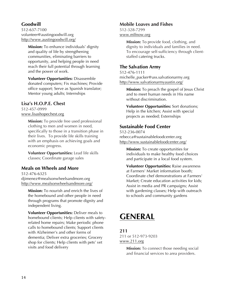# **Goodwill**

512-637-7100 volunteer@austingoodwill.org http://www.austingoodwill.org/

> **Mission:** To enhance individuals' dignity and quality of life by strengthening communities, eliminating barriers to opportunity, and helping people in need reach their full potential through learning and the power of work.

**Volunteer Opportunities:** Disassemble donated computers; Fix machines; Provide office support; Serve as Spanish translator; Mentor young adults; Internships

### **Lisa's H.O.P.E. Chest**

512-457-0999 www.lisashopechest.org

> **Mission:** To provide free used professional clothing to men and women in need, specifically to those in a transition phase in their lives. To provide life skills training with an emphasis on achieving goals and economic progress.

**Volunteer Opportunities:** Lead life skills classes; Coordinate garage sales

#### **Meals on Wheels and More**

512-476-6325 djimenez@mealsonwheelsandmore.org http://www.mealsonwheelsandmore.org/

**Mission:** To nourish and enrich the lives of the homebound and other people in need through programs that promote dignity and independent living.

**Volunteer Opportunities:** Deliver meals to homebound clients; Help clients with safetyrelated home repairs; Make periodic phone calls to homebound clients; Support clients with Alzheimer's and other forms of dementia; Deliver extra groceries; Grocery shop for clients; Help clients with pets' vet visits and food delivery

#### **Mobile Loaves and Fishes**

512-328-7299 www.mlfnow.org

> **Mission:** To provide food, clothing, and dignity to individuals and families in need. To encourage self-sufficiency through clientstaffed catering trucks.

# **The Salvation Army**

512-476-1111 michelle\_packer@uss.salvationarmy.org http://www.salvationarmyaustin.org/

**Mission:** To preach the gospel of Jesus Christ and to meet human needs in His name without discrimination.

**Volunteer Opportunities:** Sort donations; Help in the kitchen; Assist with special projects as needed; Externships

# **Sustainable Food Center**

512-236-0074 rebecca@sustainablefoodcenter.org http://www.sustainablefoodcenter.org/

**Mission:** To create opportunities for individuals to make healthy food choices and participate in a local food system.

**Volunteer Opportunities:** Raise awareness at Farmers' Market information booth; Coordinate chef demonstrations at Farmers' Market; Create education activities for kids; Assist in media and PR campaigns; Assist with gardening classes; Help with outreach to schools and community gardens

# **GENERAL**

**211** 211 or 512-973-9203 www.211.org

> **Mission:** To connect those needing social and financial services to area providers.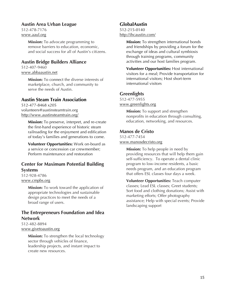#### **Austin Area Urban League**

512-478-7176 www.aaul.org

> **Mission:** To advocate programming to remove barriers to education, economic, and social success for all of Austin's citizens.

#### **Austin Bridge Builders Alliance**

512-407-9460 www.abbaaustin.net

> **Mission:** To connect the diverse interests of marketplace, church, and community to serve the needs of Austin.

#### **Austin Steam Train Association**

512-477-8468 x205 volunteers@austinsteamtrain.org http://www.austinsteamtrain.org/

> **Mission:** To preserve, interpret, and re-create the first-hand experience of historic steam railroading for the enjoyment and edification of today's families and generations to come.

**Volunteer Opportunities:** Work on-board as a service or concession car crewmember; Perform maintenance and restoration

### **Center for Maximum Potential Building Systems**

512-928-4786 www.cmpbs.org

> **Mission:** To work toward the application of appropriate technologies and sustainable design practices to meet the needs of a broad range of users.

# **The Entrepreneurs Foundation and Idea Network**

512-482-8894 www.givetoaustin.org

> **Mission:** To strengthen the local technology sector through vehicles of finance, leadership projects, and instant impact to create new resources.

### **GlobalAustin**

512-215-0140 http://ihcaustin.com/

> **Mission:** To strengthen international bonds and friendships by providing a forum for the exchange of ideas and cultural symbiosis through training programs, community activities and our host families program.

> **Volunteer Opportunities:** Host international visitors for a meal; Provide transportation for international visitors; Host short-term international visitors

# **Greenlights**

512-477-5955 www.greenlights.org

> **Mission:** To support and strengthen nonprofits in education through consulting, education, networking, and resources.

#### **Manos de Cristo**

512-477-7454 www.manosdecristo.org

> **Mission:** To help people in need by providing resources that will help them gain self-sufficiency. To operate a dental clinic program to low-income residents, a basic needs program, and an education program that offers ESL classes four days a week.

**Volunteer Opportunities:** Teach computer classes; Lead ESL classes; Greet students; Sort food and clothing donations; Assist with marketing efforts; Offer photography assistance; Help with special events; Provide landscaping support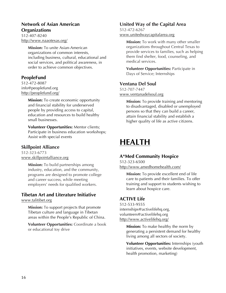# **Network of Asian American Organizations**

512-407-8240 http://www.naaotexas.org/

> **Mission:** To unite Asian-American organizations of common interests, including business, cultural, educational and social services, and political awareness, in order to achieve common objectives.

# **PeopleFund**

512-472-8087 info@peoplefund.org http://peoplefund.org/

> **Mission:** To create economic opportunity and financial stability for underserved people by providing access to capital, education and resources to build healthy small businesses.

**Volunteer Opportunities:** Mentor clients; Participate in business education workshops; Assist with special events

# **Skillpoint Alliance**

512-323-6773 www.skillpointalliance.org

> **Mission:** To build partnerships among industry, education, and the community, programs are designed to promote college and career success, while meeting employers' needs for qualified workers.

#### **Tibetan Art and Literature Initiative** www.talitibet.org

**Mission:** To support projects that promote Tibetan culture and language in Tibetan areas within the People's Republic of China.

**Volunteer Opportunities:** Coordinate a book or educational toy drive

# **United Way of the Capital Area**

512-472-6267 www.unitedwaycapitalarea.org

> **Mission:** To work with many other smaller organizations throughout Central Texas to provide services to families, such as helping them find shelter, food, counseling, and medical services.

**Volunteer Opportunities:** Participate in Days of Service; Internships

### **Ventana Del Soul**

512-707-7447 www.ventanadelsoul.org

> **Mission:** To provide training and mentoring to disadvantaged, disabled or unemployed persons so that they can build a career, attain financial stability and establish a higher quality of life as active citizens.

# **HEALTH**

# **A\*Med Community Hospice**

512-323-6500 http://www.amedhomehealth.com/

> **Mission:** To provide excellent end of life care to patients and their families. To offer training and support to students wishing to learn about hospice care.

# **ACTIVE Life**

512-533-9555 internships@activelifehq.org, volunteers@activelifehq.org http://www.activelifehq.org/

> **Mission:** To make healthy the norm by generating a persistent demand for healthy living among all sectors of society.

**Volunteer Opportunities:** Internships (youth initiatives, events, website development, health promotion, marketing)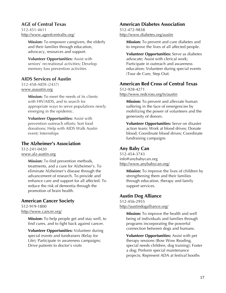### **AGE of Central Texas**

512-451-4611 http://www.ageofcentraltx.org/

> **Mission:** To empower caregivers, the elderly and their families through education, advocacy, resources and support.

**Volunteer Opportunities:** Assist with seniors' recreational activities; Develop memory loss prevention activities

# **AIDS Services of Austin**

512-458-AIDS (2437) www.asaustin.org

> **Mission:** To meet the needs of its clients with HIV/AIDS, and to search for appropriate ways to serve populations newly emerging in the epidemic.

**Volunteer Opportunities:** Assist with prevention outreach efforts; Sort food donations; Help with AIDS Walk Austin event; Internships

# **The Alzheimer's Association**

512-241-0420 www.alz-austin.org

> **Mission:** To find prevention methods, treatments, and a cure for Alzheimer's. To eliminate Alzheimer's disease through the advancement of research. To provide and enhance care and support for all affected. To reduce the risk of dementia through the promotion of brain health.

# **American Cancer Society**

512-919-1800 http://www.cancer.org/

> **Mission:** To help people get and stay well, to find cures, and to fight back against cancer.

**Volunteer Opportunities:** Volunteer during special events and fundraisers (Relay for Life); Participate in awareness campaigns; Drive patients to doctor's visits

# **American Diabetes Association**

512-472-9838 http://www.diabetes.org/austin

> **Mission:** To prevent and cure diabetes and to improve the lives of all affected people.

**Volunteer Opportunities:** Serve as diabetes advocate; Assist with clerical work; Participate in outreach and awareness education; Volunteer during special events (Tour de Cure, Step Out)

# **American Red Cross of Central Texas**

512-928-4271 http://www.redcross.org/tx/austin

> **Mission:** To prevent and alleviate human suffering in the face of emergencies by mobilizing the power of volunteers and the generosity of donors.

**Volunteer Opportunities:** Serve on disaster action team; Work at blood drives; Donate blood; Coordinate blood drives; Coordinate fundraising campaigns

# **Any Baby Can**

512-454-3743 info@anybabycan.org http://www.anybabycan.org/

> **Mission:** To improve the lives of children by strengthening them and their families through education, therapy and family support services.

# **Austin Dog Alliance**

512-456-2955 http://austindogalliance.org/

> **Mission:** To improve the health and well being of individuals and families through programs incorporating the powerful connection between dogs and humans.

**Volunteer Opportunities:** Assist with pet therapy sessions (Bow Wow Reading, special needs children, dog training); Foster a dog; Perform special maintenance projects; Represent ADA at festival booths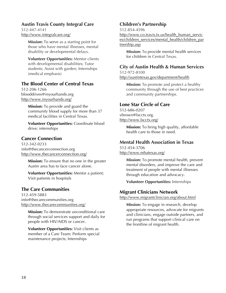#### **Austin Travis County Integral Care**

512-447-4141 http://www.integralcare.org/

> **Mission:** To serve as a starting point for those who have mental illnesses, mental disability or developmental delays.

> **Volunteer Opportunities:** Mentor clients with developmental disabilities; Tutor students; Assist with garden; Internships (medical emphasis)

# **The Blood Center of Central Texas**

512-206-1266 blooddrives@inyourhands.org http://www.inyourhands.org/

> **Mission:** To provide and guard the community blood supply for more than 37 medical facilities in Central Texas.

**Volunteer Opportunities:** Coordinate blood drive; internships

### **Cancer Connection**

512-342-0233 info@thecancerconnection.org http://www.thecancerconnection.org/

**Mission:** To ensure that no one in the greater Austin area has to face cancer alone.

**Volunteer Opportunities:** Mentor a patient; Visit patients in hospitals

# **The Care Communities**

512-459-5883 info@thecarecommunities.org http://www.thecarecommunities.org/

> **Mission:** To demonstrate unconditional care through social services support and daily for people with HIV/AIDS or cancer.

**Volunteer Opportunities:** Visit clients as member of a Care Team; Perform special maintenance projects; Internships

### **Children's Partnership**

512-854-4596

http://www.co.travis.tx.us/health\_human\_servic es/children\_services/mental\_health/children\_par tnership.asp

**Mission:** To provide mental health services for children in Central Texas.

#### **City of Austin Health & Human Services** 512-972-8100

http://austintexas.gov/department/health

**Mission:** To promote and protect a healthy community through the use of best practices and community partnerships.

# **Lone Star Circle of Care**

512-686-0207 vbrown@lscctx.org. http://www.lscctx.org/

> **Mission:** To bring high quality, affordable health care to those in need.

# **Mental Health Association in Texas**

512-454-3706 http://www.mhatexas.org/

> **Mission:** To promote mental health, prevent mental disorders, and improve the care and treatment of people with mental illnesses through education and advocacy.

**Volunteer Opportunities:** Internships

# **Migrant Clinicians Network**

http://www.migrantclinician.org/about.html

**Mission:** To engage in research, develop appropriate resources, advocate for migrants and clinicians, engage outside partners, and run programs that support clinical care on the frontline of migrant health.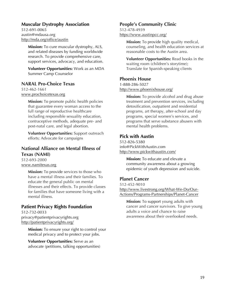### **Muscular Dystrophy Association**

512-691-0065 austin@mdausa.org http://mda.org/office/austin

> **Mission:** To cure muscular dystrophy, ALS, and related diseases by funding worldwide research. To provide comprehensive care, support services, advocacy, and education.

> **Volunteer Opportunities:** Work as an MDA Summer Camp Counselor

#### **NARAL Pro-Choice Texas**

512-462-1661 www.prochoicetexas.org

> **Mission:** To promote public health policies that guarantee every woman access to the full range of reproductive healthcare including responsible sexuality education, contraceptive methods, adequate pre- and post-natal care, and legal abortion.

> **Volunteer Opportunities:** Support outreach efforts; Advocate for campaigns

#### **National Alliance on Mental Illness of Texas (NAMI)**

512-693-2000 www.namitexas.org

> **Mission:** To provide services to those who have a mental illness and their families. To educate the general public on mental illnesses and their effects. To provide classes for families that have someone living with a mental illness.

#### **Patient Privacy Rights Foundation**

512-732-0033 privacy@patientprivacyrights.org http://patientprivacyrights.org/

> **Mission:** To ensure your right to control your medical privacy and to protect your jobs.

**Volunteer Opportunities:** Serve as an advocate (petitions, talking opportunities)

#### **People's Community Clinic**

512-478-4939 https://www.austinpcc.org/

> **Mission:** To provide high quality medical, counseling, and health education services at reasonable costs to the Austin area.

> **Volunteer Opportunities:** Read books in the waiting room (children's storytime); Translate for Spanish-speaking clients

#### **Phoenix House**

1-888-286-5027

http://www.phoenixhouse.org/

**Mission:** To provide alcohol and drug abuse treatment and prevention services, including detoxification, outpatient and residential programs, art therapy, after-school and day programs, special women's services, and programs that serve substance abusers with mental health problems.

#### **Pick with Austin**

512-826-5380 info@PickWithAustin.com http://www.pickwithaustin.com/

> **Mission:** To educate and elevate a community awareness about a growing epidemic of youth depression and suicide.

#### **Planet Cancer**

512-452-9010 http://www.livestrong.org/What-We-Do/Our-Actions/Programs-Partnerships/Planet-Cancer

**Mission:** To support young adults with cancer and cancer survivors. To give young adults a voice and chance to raise awareness about their overlooked needs.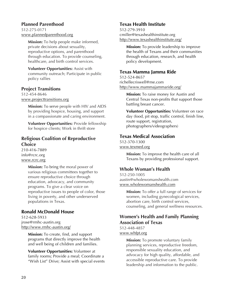# **Planned Parenthood**

512-275-0171 www.plannedparenthood.org

> **Mission:** To help people make informed, private decisions about sexuality, reproductive options, and parenthood through education. To provide counseling, healthcare, and birth control services.

> **Volunteer Opportunities:** Assist with community outreach; Participate in public policy rallies

# **Project Transitions**

512-454-8646 www.projecttransitions.org

> **Mission:** To serve people with HIV and AIDS by providing hospice, housing, and support in a compassionate and caring environment.

> **Volunteer Opportunities:** Provide fellowship for hospice clients; Work in thrift store

### **Religious Coalition of Reproductive Choice**

210-416-7889 info@rcrc.org www.rcrc.org

> **Mission:** To bring the moral power of various religious committees together to ensure reproductive choice through education, advocacy, and community programs. To give a clear voice on reproductive issues to people of color, those living in poverty, and other underserved populations in Texas.

# **Ronald McDonald House**

512-628-5933 jrose@rmhc-austin.org http://www.rmhc-austin.org/

> **Mission:** To create, find, and support programs that directly improve the health and well being of children and families.

**Volunteer Opportunities:** Volunteer at family rooms; Provide a meal; Coordinate a "Wish List" Drive; Assist with special events

#### **Texas Health Institute**

512-279-3910 cmiller@texashealthinstitute.org http://www.texashealthinstitute.org/

> **Mission:** To provide leadership to improve the health of Texans and their communities through education, research, and health policy development.

#### **Texas Mamma Jamma Ride**

512-524-8657 richellecriswell@me.com http://www.mammajammaride.org/

> **Mission:** To raise money for Austin and Central Texas non-profits that support those battling breast cancer.

**Volunteer Opportunities:** Volunteer on race day (food, pit stop, traffic control, finish line, route support, registration, photographers/videographers)

#### **Texas Medical Association**

512-370-1300 www.texmed.org

> **Mission:** To improve the health care of all Texans by providing professional support.

# **Whole Woman's Health**

512-250-1005 austin@wholewomanshealth.com www.wholewomanshealth.com

> **Mission:** To offer a full range of services for women, including gynecological services, abortion care, birth control services, counseling, and general wellness resources.

# **Women's Health and Family Planning Association of Texas**

512-448-4857 www.whfpt.org

> **Mission:** To promote voluntary family planning services, reproductive freedom, responsible sexuality education, and advocacy for high quality, affordable, and accessible reproductive care. To provide leadership and information to the public.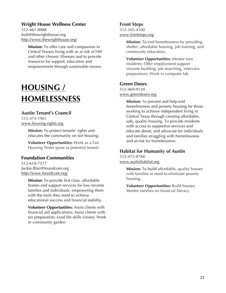#### **Wright House Wellness Center**

512-467-0088 leah@thewrighthouse.org http://www.thewrighthouse.org/

> **Mission:** To offer care and compassion to Central Texans living with or at risk of HIV and other chronic illnesses and to provide resources for support, education and empowerment through sustainable means.

# **HOUSING / HOMELESSNESS**

#### **Austin Tenant's Council**

512-474-1961 www.housing-rights.org

> **Mission:** To protect tenants' rights and educates the community on fair housing.

> **Volunteer Opportunities:** Work as a Fair Housing Tester (pose as potential tenant)

#### **Foundation Communities**

512-610-7377 Jackie.Blair@foundcom.org http://www.foundcom.org/

> **Mission:** To provide first class, affordable homes and support services for low-income families and individuals, empowering them with the tools they need to achieve educational success and financial stability.

**Volunteer Opportunities:** Assist clients with financial aid applications; Assist clients with tax preparation; Lead life skills classes; Work in community garden

#### **Front Steps**

512-305-4100 www.frontsteps.org

> **Mission:** To end homelessness by providing shelter, affordable housing, job training, and community education.

**Volunteer Opportunities:** Mentor new residents; Offer employment support (resume building, job searching, interview preparation); Work in computer lab

#### **Green Doors**

512-469-9130 www.greendoors.org

> **Mission:** To prevent and help end homelessness and poverty housing for those working to achieve independent living in Central Texas through creating affordable, safe, quality housing. To provide residents with access to supportive services and educate about, and advocate for individuals and families struggling with homelessness and at-risk for homelessness.

#### **Habitat for Humanity of Austin**

512-472-8788 www.austinhabitat.org

> **Mission:** To build affordable, quality houses with families in need to eliminate poverty housing.

**Volunteer Opportunities:** Build houses; Mentor families on financial literacy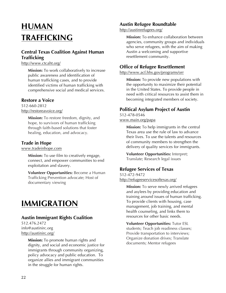# **HUMAN TRAFFICKING**

# **Central Texas Coalition Against Human Trafficking**

http://www.ctcaht.org/

**Mission:** To work collaboratively to increase public awareness and identification of human trafficking cases, and to provide identified victims of human trafficking with comprehensive social and medical services.

# **Restore a Voice**

512-660-2812 http://restoreavoice.org/

> **Mission:** To restore freedom, dignity, and hope, to survivors of human trafficking through faith-based solutions that foster healing, education, and advocacy.

# **Trade in Hope**

www.tradeinhope.com

**Mission:** To use film to creatively engage, connect, and empower communities to end exploitation and slavery.

**Volunteer Opportunities:** Become a Human Trafficking Prevention advocate; Host of documentary viewing

# **IMMIGRATION**

# **Austin Immigrant Rights Coalition**

512.476.2472 info@austinirc.org http://austinirc.org/

> **Mission:** To promote human rights and dignity, and social and economic justice for immigrants through community organizing, policy advocacy and public education. To organize allies and immigrant communities in the struggle for human rights.

#### **Austin Refugee Roundtable**

http://austinrefugees.org/

**Mission:** To enhance collaboration between agencies, community groups and individuals who serve refugees, with the aim of making Austin a welcoming and supportive resettlement community.

#### **Office of Refugee Resettlement**

http://www.acf.hhs.gov/programs/orr

**Mission:** To provide new populations with the opportunity to maximize their potential in the United States. To provide people in need with critical resources to assist them in becoming integrated members of society.

# **Political Asylum Project of Austin**

512-478-0546 www.main.org/papa

> **Mission:** To help immigrants in the central Texas area use the rule of law to advance their lives. To use the talents and resources of community members to strengthen the delivery of quality services for immigrants.

**Volunteer Opportunities:** Interpret; Translate; Research legal issues

# **Refugee Services of Texas**

512-472-9472 http://refugeeservicesoftexas.org/

> **Mission:** To serve newly arrived refugees and asylees by providing education and training around issues of human trafficking. To provide clients with housing, case management, job training, and mental health counseling, and links them to resources for other basic needs.

**Volunteer Opportunities:** Tutor ESL students; Teach job readiness classes; Provide transportation to interviews; Organize donation drives; Translate documents; Mentor refugees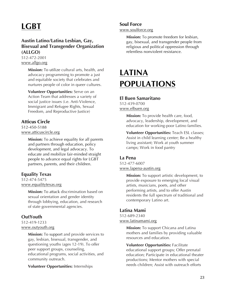# **LGBT**

### **Austin Latino/Latina Lesbian, Gay, Bisexual and Transgender Organization (ALLGO)**

512-472-2001 www.allgo.org

> **Mission:** To utilize cultural arts, health, and advocacy programming to promote a just and equitable society that celebrates and nurtures people of color in queer cultures.

**Volunteer Opportunities:** Serve on an Action Team that addresses a variety of social justice issues (i.e. Anti-Violence, Immigrant and Refugee Rights, Sexual Freedom, and Reproductive Justice)

### **Atticus Circle**

512-450-5188 www.atticuscircle.org

> **Mission:** To achieve equality for all parents and partners through education, policy development, and legal advocacy. To educate and mobilize fair-minded straight people to advance equal rights for LGBT partners, parents, and their children.

# **Equality Texas**

512-474-5475 www.equalitytexas.org

> **Mission:** To attack discrimination based on sexual orientation and gender identity through lobbying, education, and research of state governmental agencies.

# **OutYouth**

512-419-1233 www.outyouth.org

> **Mission:** To support and provide services to gay, lesbian, bisexual, transgender, and questioning youths (ages 12-19). To offer peer support groups, counseling, educational programs, social activities, and community outreach.

**Volunteer Opportunities:** Internships

#### **Soul Force**

www.soulforce.org

**Mission:** To promote freedom for lesbian, gay, bisexual, and transgender people from religious and political oppression through relentless nonviolent resistance.

# **LATINA POPULATIONS**

#### **El Buen Samaritano**

512-439-0700 www.elbuen.org

> **Mission:** To provide health care, food, advocacy, leadership, development, and education for working-poor Latino families.

**Volunteer Opportunities:** Teach ESL classes; Assist in child learning center; Be a healthy living assistant; Work at youth summer camps; Work in food pantry

#### **La Pena**

512-477-6007 www.lapena-austin.org

> **Mission:** To support artistic development, to provide exposure to emerging local visual artists, musicians, poets, and other performing artists, and to offer Austin residents the full spectrum of traditional and contemporary Latino art.

# **Latina Mami**

512-689-2340 www.latinamami.org

> **Mission:** To support Chicana and Latina mothers and families by providing valuable resources and education.

**Volunteer Opportunities:** Facilitate educational support groups; Offer prenatal education; Participate in educational theater productions; Mentor mothers with special needs children; Assist with outreach efforts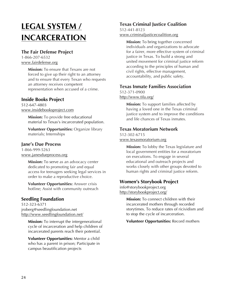# **LEGAL SYSTEM / INCARCERATION**

### **The Fair Defense Project**

1-866-207-6532 www.fairdefense.org

> **Mission:** To ensure that Texans are not forced to give up their right to an attorney and to ensure that every Texan who requests an attorney receives competent representation when accused of a crime.

# **Inside Books Project**

512-647-4803 www.insidebooksproject.com

> **Mission:** To provide free educational material to Texas's incarcerated population.

**Volunteer Opportunities:** Organize library materials; Internships

# **Jane's Due Process**

1-866-999-5263 www.janesdueprocess.org

> **Mission:** To serve as an advocacy center dedicated to promoting fair and equal access for teenagers seeking legal services in order to make a reproductive choice.

**Volunteer Opportunities:** Answer crisis hotline; Assist with community outreach

# **Seedling Foundation**

512-323-6371 jroberg@seedlingfoundation.net http://www.seedlingfoundation.net/

> **Mission:** To interrupt the intergenerational cycle of incarceration and help children of incarcerated parents reach their potential.

**Volunteer Opportunities:** Mentor a child who has a parent in prison; Participate in campus beautification projects

# **Texas Criminal Justice Coalition**

512-441-8123 www.criminaljusticecoalition.org

> **Mission:** To bring together concerned individuals and organizations to advocate for a fairer, more effective system of criminal justice in Texas. To build a strong and united movement for criminal justice reform according to the principles of human and civil rights, effective management, accountability, and public safety.

# **Texas Inmate Families Association**

512-371-0900 http://www.tifa.org/

> **Mission:** To support families affected by having a loved one in the Texas criminal justice system and to improve the conditions and life chances of Texas inmates.

# **Texas Moratorium Network**

512-302-6715 www.texasmoratorium.org

> **Mission:** To lobby the Texas legislature and local government entities for a moratorium on executions. To engage in several educational and outreach projects and works closely with other groups devoted to human rights and criminal justice reform.

# **Women's Storybook Project**

info@storybookproject.org http://storybookproject.org/

> **Mission:** To connect children with their incarcerated mothers through recorded storytimes. To reduce rates of ricividism and to stop the cycle of incarceration.

**Volunteer Opportunities:** Record mothers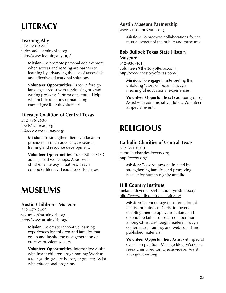# **LITERACY**

### **Learning Ally**

512-323-9390 tericson@LearningAlly.org http://www.learningally.org/

> **Mission:** To promote personal achievement when access and reading are barriers to learning by advancing the use of accessible and effective educational solutions.

**Volunteer Opportunities:** Tutor in foreign languages; Assist with fundraising or grant writing projects; Perform data entry; Help with public relations or marketing campaigns; Recruit volunteers

# **Literacy Coalition of Central Texas**

512-735-2530 tbell@willread.org http://www.willread.org/

> **Mission:** To strengthen literacy education providers through advocacy, research, training and resource development.

**Volunteer Opportunities:** Tutor ESL or GED adults; Lead workshops; Assist with children's literacy initiatives; Teach computer literacy; Lead life skills classes

# **MUSEUMS**

#### **Austin Children's Museum**

512-472-2499 volunteer@austinkids.org http://www.austinkids.org/

> **Mission:** To create innovative learning experiences for children and families that equip and inspire the next generation of creative problem solvers.

**Volunteer Opportunities:** Internships; Assist with infant children programming; Work as a tour guide, gallery helper, or greeter; Assist with educational programs

#### **Austin Museum Partnership**

www.austinmuseums.org

**Mission:** To promote collaborations for the mutual benefit of the public and museums.

### **Bob Bullock Texas State History Museum**

512-936-4614 volunteers@thestoryoftexas.com http://www.thestoryoftexas.com/

> **Mission:** To engage in interpreting the unfolding "Story of Texas" through meaningful educational experiences.

**Volunteer Opportunities:** Lead tour groups; Assist with administrative duties; Volunteer at special events

# **RELIGIOUS**

# **Catholic Charities of Central Texas**

512-651-6100 catholic-charities@ccctx.org http://ccctx.org/

> **Mission:** To serve anyone in need by strengthening families and promoting respect for human dignity and life.

#### **Hill Country Institute**

melanie.devereaux@hillcountryinstitute.org http://www.hillcountryinstitute.org/

**Mission:** To encourage transformation of hearts and minds of Christ followers, enabling them to apply, articulate, and defend the faith. To foster collaboration among Christian-thought leaders through conferences, training, and web-based and published materials.

**Volunteer Opportunities:** Assist with special events preparation; Manage blog; Work as a researcher or editor; Create videos; Assist with grant writing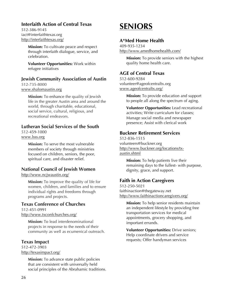# **Interfaith Action of Central Texas**

512-386-9145 iact@interfaithtexas.org http://interfaithtexas.org/

> **Mission:** To cultivate peace and respect through interfaith dialogue, service, and celebration.

**Volunteer Opportunities:** Work within refugee initiatives

# **Jewish Community Association of Austin** 512-735-8000

www.shalomaustin.org

**Mission:** To enhance the quality of Jewish life in the greater Austin area and around the world, through charitable, educational, social service, cultural, religious, and recreational endeavors.

# **Lutheran Social Services of the South**

512-459-1000 www.lsss.org

> **Mission:** To serve the most vulnerable members of society through ministries focused on children, seniors, the poor, spiritual care, and disaster relief.

# **National Council of Jewish Women**

http://www.ncjwaustin.org/

**Mission:** To improve the quality of life for women, children, and families and to ensure individual rights and freedoms through programs and projects.

# **Texas Conference of Churches**

512-451-0991 http://www.txconfchurches.org/

> **Mission:** To lead interdenominational projects in response to the needs of their community as well as ecumenical outreach.

# **Texas Impact**

512-472-3903 http://texasimpact.org/

> **Mission:** To advance state public policies that are consistent with universally held social principles of the Abrahamic traditions.

# **SENIORS**

# **A\*Med Home Health**

409-935-1234 http://www.amedhomehealth.com/

> **Mission:** To provide seniors with the highest quality home health care.

# **AGE of Central Texas**

512-600-9284 volunteer@ageofcentraltx.org www.ageofcentraltx.org/

> **Mission:** To provide education and support to people all along the spectrum of aging.

**Volunteer Opportunities:** Lead recreational activities; Write curriculum for classes; Manage social media and newspaper presence; Assist with clerical work

# **Buckner Retirement Services**

512-836-1515 volunteers@buckner.org http://www.buckner.org/locations/txaustin.shtml

> **Mission:** To help patients live their remaining days to the fullest- with purpose, dignity, grace, and support.

# **Faith in Action Caregivers**

512-250-5021 faithinaction@thegateway.net http://www.faithinactioncaregivers.org/

**Mission:** To help senior residents maintain an independent lifestyle by providing free transportation services for medical appointments, grocery shopping, and important errands.

**Volunteer Opportunities:** Drive seniors; Help coordinate drivers and service requests; Offer handyman services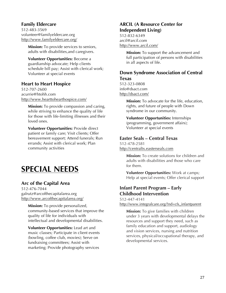#### **Family Eldercare**

512-483-3569 volunteer@familyeldercare.org http://www.familyeldercare.org/

> **Mission:** To provide services to seniors, adults with disabilities,and caregivers.

**Volunteer Opportunities:** Become a guardianship advocate; Help clients schedule bill pay; Assist with clerical work; Volunteer at special events

# **Heart to Heart Hospice**

512-707-2600 acurrie@htohh.com http://www.hearttohearthospice.com/

**Mission:** To provide compassion and caring, while striving to enhance the quality of life for those with life-limiting illnesses and their loved ones.

**Volunteer Opportunities:** Provide direct patient or family care; Visit clients; Offer bereavement support; Attend funerals; Run errands; Assist with clerical work; Plan community activities

# **SPECIAL NEEDS**

# **Arc of the Capital Area**

512-476-7044 galrutz@arcofthecapitalarea.org http://www.arcofthecapitalarea.org/

> **Mission:** To provide personalized, community-based services that improve the quality of life for individuals with intellectual and developmental disabilities.

**Volunteer Opportunities:** Lead art and music classes; Participate in client events (bowling, coffee club, movies); Serve on fundraising committees; Assist with marketing; Provide photography services

# **ARCIL (A Resource Center for Independent Living)**

512-832-6349 arcil@arcil.com http://www.arcil.com/

> **Mission:** To support the advancement and full participation of persons with disabilities in all aspects of life.

# **Down Syndrome Association of Central Texas**

512-323-0808 info@dsact.com http://dsact.com/

> **Mission:** To advocate for the life, education, rights, and future of people with Down syndrome in our community.

**Volunteer Opportunities:** Internships (programming, government affairs); Volunteer at special events

# **Easter Seals – Central Texas**

512-478-2581 http://centraltx.easterseals.com

> **Mission:** To create solutions for children and adults with disabilities and those who care for them.

> **Volunteer Opportunities:** Work at camps; Help at special events; Offer clerical support

# **Infant Parent Program – Early Childhood Intervention**

512-447-4141

http://www.integralcare.org/?nd=cfs\_infantparent

**Mission:** To give families with children under 3 years with developmental delays the resources and support they need, such as family education and support, audiology and vision services, nursing and nutrition services, physical/occupational therapy, and developmental services.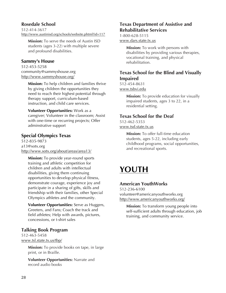### **Rosedale School**

512-414-3617 http://www.austinisd.org/schools/website.phtml?id=117

**Mission:** To serve the needs of Austin ISD students (ages 3-22) with multiple severe and profound disabilities.

#### **Sammy's House**

512-453-5258 community@sammyshouse.org http://www.sammyshouse.org/

> **Mission:** To help children and families thrive by giving children the opportunities they need to reach their highest potential through therapy support, curriculum-based instruction, and child care services.

#### **Volunteer Opportunities:** Work as a

caregiver; Volunteer in the classroom; Assist with one-time or recurring projects; Offer adminstrative support

#### **Special Olympics Texas**

512-835-9873 a13@sotx.org http://www.sotx.org/about/areas/area13/

**Mission:** To provide year-round sports training and athletic competition for children and adults with intellectual disabilities, giving them continuing opportunities to develop physical fitness, demonstrate courage, experience joy and participate in a sharing of gifts, skills and friendship with their families, other Special Olympics athletes and the community.

**Volunteer Opportunities:** Serve as Huggers, Greeters, and Fans; Coach the track and field athletes; Help with awards, pictures, concessions, or t-shirt sales

#### **Talking Book Program**

512-463-5458 www.tsl.state.tx.us/tbp/

> **Mission:** To provide books on tape, in large print, or in Braille.

**Volunteer Opportunities:** Narrate and record audio books

#### **Texas Department of Assistive and Rehabilitative Services**

1-800-628-5115 www.dars.state.tx.us

> **Mission:** To work with persons with disabilities by providing various therapies, vocational training, and physical rehabilitation.

#### **Texas School for the Blind and Visually Impaired**

512-454-8631 www.tsbvi.edu

> **Mission:** To provide education for visually impaired students, ages 3 to 22, in a residential setting.

#### **Texas School for the Deaf**

512-462-5353 www.tsd.state.tx.us

> **Mission:** To offer full-time education students, ages 5-22, including early childhood programs, social opportunities, and recreational sports.

# **YOUTH**

#### **American YouthWorks**

512-236-6100 volunteer@americanyouthworks.org http://www.americanyouthworks.org/

**Mission:** To transform young people into self-sufficient adults through education, job training, and community service.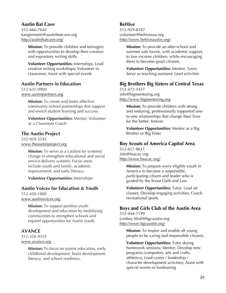#### **Austin Bat Cave**

512-666-7645 kangermeier@austinbatcave.org http://austinbatcave.org/

> **Mission:** To provide children and teenagers with opportunities to develop their creative and expository writing skills.

> **Volunteer Opportunities:** Internships; Lead creative writing workshops; Volunteer in classroom; Assist with special events

#### **Austin Partners in Education**

512-637-0900 www.austinpartners.org

> **Mission:** To create and foster effective community-school partnerships that support and enrich student learning and success.

**Volunteer Opportunities:** Mentor; Volunteer as a Classroom Coach

#### **The Austin Project**

512-929-3545 www.theaustinproject.org

> **Mission:** To serve as a catalyst for systemic change to strengthen educational and social service delivery systems. Focus areas include youth and family, academic improvement, and early literacy.

**Volunteer Opportunities:** Internships

#### **Austin Voices for Education & Youth**

512-450-1880 www.austinvoices.org

> **Mission:** To support positive youth development and education by mobilizing communities to strengthen schools and expand opportunities for Austin youth.

#### **AVANCE**

512-326-9335 www.avance.org

> **Mission:** To focus on parent education, early childhood development, brain development, literacy, and school readiness.

#### **BeHive**

512-929-8187 volunteer@behiveusa.org http://www.behiveaustin.org/

> **Mission:** To provide an after-school and summer safe haven, with academic support, to low-income children, while encouraging them to become good citizens.

**Volunteer Opportunities:** Mentor; Tutor; Serve as teaching assistant; Lead activities

### **Big Brothers Big Sisters of Central Texas**

512-472-5437 info@bigmentoring.org http://www.bigmentoring.org

> **Mission:** To provide children with strong and enduring, professionally supported oneto-one relationships that change their lives for the better, forever.

**Volunteer Opportunities:** Mentor as a Big Brother or Big Sister

#### **Boy Scouts of America Capitol Area**

512-617-8611 info@bsacac.org http://www.bsacac.org/

> **Mission:** To prepare every eligible youth in America to become a responsible, participating citizen and leader who is guided by the Scout Oath and Law.

**Volunteer Opportunities:** Tutor; Lead art classes; Develop engaging activities; Coach recreational sports

#### **Boys and Girls Club of the Austin Area**

512-444-7199 Lindsey.Wolf@bgcaustin.org http://www.bgcaustin.org/

> **Mission:** To inspire and enable all young people to be caring and responsible citizens.

> **Volunteer Opportunities:** Tutor during homework sessions; Mentor; Develop new programs (computers, arts and crafts, athletics); Lead career / leadership / character development activities; Assist with special events or fundraising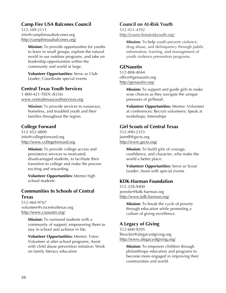# **Camp Fire USA Balcones Council**

512-349-2111 info@campfireusabalcones.org http://campfireusabalcones.org/

> **Mission:** To provide opportunities for youths to learn in small groups, explore the natural world in our outdoor programs, and take on leadership opportunities within the community and world at large.

**Volunteer Opportunities:** Serve as Club Leader; Coordinate special events

#### **Central Texas Youth Services**

1-800-421-TEEN (8336) www.centraltexasyouthservices.org

> **Mission:** To provide services to runaways, homeless, and troubled youth and their families throughout the region.

# **College Forward**

512-452-4800 info@collegeforward.org http://www.collegeforward.org

> **Mission:** To provide college access and persistence services to motivated, disadvantaged students, to facilitate their transition to college and make the process exciting and rewarding.

**Volunteer Opportunities:** Mentor high school students

# **Communities In Schools of Central Texas**

512-464-9767 volunteer@ciscentraltexas.org http://www.cisaustin.org/

> **Mission:** To surround students with a community of support, empowering them to stay in school and achieve in life.

> **Volunteer Opportunities:** Mentor; Tutor; Volunteer at after-school programs; Assist with child abuse prevention initiative; Work on family literacy education

#### **Council on At-Risk Youth**

512-451-4592 http://councilonatriskyouth.org/

> **Mission:** To help youth prevent violence, drug abuse, and delinquency through public information, training, and management of youth violence prevention programs.

#### **GENaustin**

512-808-4044 office@genaustin.org http://genaustin.org/

> **Mission:** To support and guide girls to make wise choices as they navigate the unique pressures of girlhood.

**Volunteer Opportunities:** Mentor; Volunteer at conferences; Recruit volunteers; Speak at workshops; Internships

#### **Girl Scouts of Central Texas**

512-490-2353 JanetB@gsctx.org http://www.gsctx.org/

> **Mission:** To build girls of courage, confidence, and character, who make the world a better place.

**Volunteer Opportunities:** Serve as Scout Leader; Assist with special events

#### **KDK-Harman Foundation**

512-328-9400 jennifer@kdk-harman.org http://www.kdk-harman.org/

> **Mission:** To break the cycle of poverty through education while promoting a culture of giving excellence.

#### **A Legacy of Giving**

512-600-9295 lbrucker@alegacyofgiving.org http://www.alegacyofgiving.org/

**Mission:** To empower children through philanthropy education and programs to become more engaged in improving their communities and world.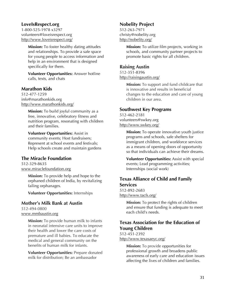### **LoveIsRespect.org**

1-800-525-1978 x3297 volunteers@loveisrespect.org http://www.loveisrespect.org/

> **Mission:** To foster healthy dating attitudes and relationships. To provide a safe space for young people to access information and help in an environment that is designed specifically for them.

**Volunteer Opportunities:** Answer hotline calls, texts, and chats

#### **Marathon Kids**

512-477-1259 info@marathonkids.org http://www.marathonkids.org/

> **Mission:** To build joyful community as a free, innovative, celebratory fitness and nutrition program, resonating with children and their families.

#### **Volunteer Opportunities:** Assist in community events; Host fundraisers; Represent at school events and festivals; Help schools create and maintain gardens

#### **The Miracle Foundation**

512-329-8635 www.miraclefoundation.org

> **Mission:** To provide help and hope to the orphaned children of India, by revitalizing failing orphanages.

**Volunteer Opportunities:** Internships

#### **Mother's Milk Bank at Austin**

512-494-0800 www.mmbaustin.org

> **Mission:** To provide human milk to infants in neonatal intensive care units to improve their health and lower the care costs of premature and ill babies. To educate the medical and general community on the benefits of human milk for infants.

> **Volunteer Opportunities:** Prepare donated milk for distribution; Be an ambassador

#### **Nobelity Project**

512-263-7971 christy@nobelity.org http://nobelity.org/

> **Mission:** To utilize film projects, working in schools, and community partner projects to promote basic rights for all children.

#### **Raising Austin**

512-351-8396 http://raisingaustin.org/

> **Mission:** To support and fund childcare that is innovative and results in beneficial changes to the education and care of young children in our area.

#### **Southwest Key Programs**

512-462-2181 volunteers@swkey.org http://www.swkey.org/

> **Mission:** To operate innovative youth justice programs and schools, safe shelters for immigrant children, and workforce services as a means of opening doors of opportunity so that individuals can achieve their dreams.

> **Volunteer Opportunities:** Assist with special events; Lead programming activities; Internships (social work)

### **Texas Alliance of Child and Family Services**

512-892-2683 http://www.tacfs.org/

> **Mission:** To protect the rights of children and ensure that funding is adequate to meet each child's needs.

# **Texas Association for the Education of Young Children**

512-451-2392 http://www.texasaeyc.org/

> **Mission:** To provide opportunities for professional growth and broadens public awareness of early care and education issues affecting the lives of children and families.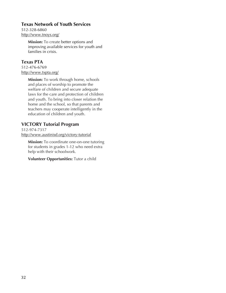#### **Texas Network of Youth Services**

512-328-6860 http://www.tnoys.org/

> **Mission:** To create better options and improving available services for youth and families in crisis.

### **Texas PTA**

512-476-6769 http://www.txpta.org/

> **Mission:** To work through home, schools and places of worship to promote the welfare of children and secure adequate laws for the care and protection of children and youth. To bring into closer relation the home and the school, so that parents and teachers may cooperate intelligently in the education of children and youth.

# **VICTORY Tutorial Program**

512-974-7317 http://www.austinisd.org/victory-tutorial

**Mission:** To coordinate one-on-one tutoring for students in grades 1-12 who need extra help with their schoolwork.

**Volunteer Opportunities:** Tutor a child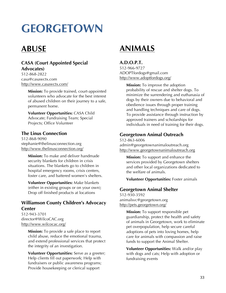# **GEORGETOWN**

# **ABUSE**

# **CASA (Court Appointed Special Advocates)**

512-868-2822 casa@casawctx.com http://www.casawctx.com/

> **Mission:** To provide trained, court-appointed volunteers who advocate for the best interest of abused children on their journey to a safe, permanent home.

**Volunteer Opportunities:** CASA Child Advocate; Fundraising Team; Special Projects; Office Volunteer

### **The Linus Connection**

512-868-9090 stephanie@thelinusconnection.org http://www.thelinusconnection.org/

> **Mission:** To make and deliver handmade security blankets for children in crisis situations. The blankets go to children in hospital emergency rooms, crisis centers, foster care, and battered women's shelters.

**Volunteer Opportunities:** Make blankets (either in existing groups or on your own); Drop off finished products at locations

# **Williamson County Children's Advocacy Center**

512-943-3701 director@WilcoCAC.org http://www.wilcocac.org/

> **Mission:** To provide a safe place to report child abuse, reduce the emotional trauma, and extend professional services that protect the integrity of an investigation.

> **Volunteer Opportunities:** Serve as a greeter; Help clients fill out paperwork; Help with fundraisers or public awareness programs; Provide housekeeping or clerical support

# **ANIMALS**

### **A.D.O.P.T.**

512-966-9727 ADOPTfordogs@gmail.com http://www.adoptfordogs.org/

> **Mission:** To improve the adoption probability of rescue and shelter dogs. To minimize the surrendering and euthanasia of dogs by their owners due to behavioral and obedience issues through proper training and handling techniques and care of dogs. To provide assistance through instruction by approved trainers and scholarships for individuals in need of training for their dogs.

### **Georgetown Animal Outreach**

512-863-6006 admin@georgetownanimaloutreach.org http://www.georgetownanimaloutreach.org

**Mission:** To support and enhance the services provided by Georgetown shelters and other local organizations dedicated to the welfare of animals.

**Volunteer Opportunities:** Foster animals

#### **Georgetown Animal Shelter**

512-930-3592 animalsvc@georgetown.org http://pets.georgetown.org/

> **Mission:** To support responsible pet guardianship, protect the health and safety of animals in Georgetown, work to eliminate pet overpopulation, help secure careful adoptions of pets into loving homes, help care for animals with compassion and raise funds to support the Animal Shelter.

**Volunteer Opportunities:** Walk and/or play with dogs and cats; Help with adoption or fundraising events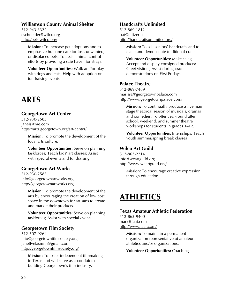#### **Williamson County Animal Shelter**

512-943-3322 cschneider@wilco.org http://pets.wilco.org/

> **Mission:** To increase pet adoptions and to emphasize humane care for lost, unwanted, or displaced pets. To assist animal control efforts by providing a safe haven for strays.

> **Volunteer Opportunities:** Walk and/or play with dogs and cats; Help with adoption or fundraising events

# **ARTS**

#### **Georgetown Art Center**

512-930-2583 janeis@me.com https://arts.georgetown.org/art-center/

**Mission:** To promote the development of the local arts culture.

**Volunteer Opportunities:** Serve on planning taskforces; Teach kids' art classes; Assist with special events and fundraising

#### **Georgetown Art Works**

512-930-2583 info@georgetownartworks.org http://georgetownartworks.org

> **Mission:** To promote the development of the arts by encouraging the creation of low cost space in the downtown for artisans to create and market their products.

> **Volunteer Opportunities:** Serve on planning taskforces; Assist with special events

#### **Georgetown Film Society**

512-507-9264 info@georgetownfilmsociety.org; janellvelasmith@gmail.com http://georgetownfilmsociety.org/

> **Mission:** To foster independent filmmaking in Texas and will serve as a conduit to building Georgetown's film industry.

#### **Handcrafts Unlimited**

512-869-1812 pat@tittizer.us http://handcraftsunlimited.org/

> **Mission:** To sell seniors' handcrafts and to teach and demonstrate traditional crafts.

**Volunteer Opportunities:** Make sales; Accept and display consigned products; Greet visitors; Assist during craft demonstrations on First Fridays

#### **Palace Theatre**

512-869-7469 marissa@georgetownpalace.com http://www.georgetownpalace.com/

> **Mission:** To continually produce a live main stage theatrical season of musicals, dramas and comedies. To offer year-round after school, weekend, and summer theatre workshops for students in grades 1–12.

> **Volunteer Opportunities:** Internships; Teach youth summer/spring break classes

#### **Wilco Art Guild**

512-863-2214 info@wcartguild.org http://www.wcartguild.org/

> Mission: To encourage creative expression through education.

# **ATHLETICS**

# **Texas Amateur Athletic Federation** 512-863-9400

mark@taaf.com http://www.taaf.com/

> **Mission:** To maintain a permanent organization representative of amateur athletics and/or organizations.

**Volunteer Opportunities:** Coaching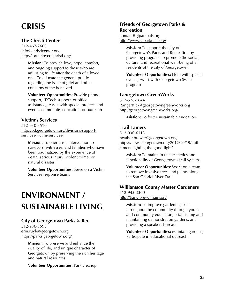# **CRISIS**

### **The Christi Center**

512-467-2600 info@christicenter.org http://fortheloveofchristi.org/

> **Mission:** To provide love, hope, comfort, and ongoing support to those who are adjusting to life after the death of a loved one. To educate the general public regarding the issue of grief and other concerns of the bereaved.

**Volunteer Opportunities:** Provide phone support, IT/Tech support, or office assistance,; Assist with special projects and events, community education, or outreach

# **Victim's Services**

512-930-3510 http://pd.georgetown.org/divisions/supportservices/victim-services/

**Mission:** To offer crisis intervention to survivors, witnesses, and families who have been traumatized by the experience of death, serious injury, violent crime, or natural disaster.

**Volunteer Opportunities:** Serve on a Victim Services response teams

# **ENVIRONMENT / SUSTAINABLE LIVING**

#### **City of Georgetown Parks & Rec**

512-930-3595 erin.ruyle@georgetown.org https://parks.georgetown.org/

> **Mission:** To preserve and enhance the quality of life, and unique character of Georgetown by preserving the rich heritage and natural resources.

**Volunteer Opportunities:** Park cleanup

# **Friends of Georgetown Parks & Recreation**

contact@gtparkpals.org http://www.gtparkpals.org/

> **Mission:** To support the city of Georgetown's Parks and Recreation by providing programs to promote the social, cultural and recreational well-being of all residents of the city of Georgetown.

**Volunteer Opportunities:** Help with special events; Assist with Georgetown Swims program

#### **Georgetown GreenWorks**

512-576-1644 RangerRick@georgetowngreenworks.org http://georgetowngreenworks.org/

**Mission:** To foster sustainable endeavors.

# **Trail Tamers**

512-930-6113 heather.brewer@georgetown.org https://news.georgetown.org/2012/10/19/trailtamers-fighting-the-good-fight/

**Mission:** To maintain the aesthetics and functionality of Georgetown's trail system.

**Volunteer Opportunities:** Work on a team to remove invasive trees and plants along the San Gabriel River Trail

#### **Williamson County Master Gardeners**

512-943-3300 http://txmg.org/williamson/

> **Mission:** To improve gardening skills throughout the community through youth and community education, establishing and maintaining demonstration gardens, and providing a speakers bureau.

> **Volunteer Opportunities:** Maintain gardens; Participate in educational outreach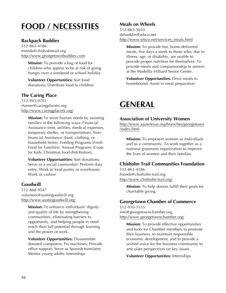# **FOOD / NECESSITIES**

#### **Backpack Buddies**

512-863-4186 friends@chisholmtrail.org http://www.georgetownbuddies.com

> **Mission:** To provide a bag of food for children who appear to be at risk of going hungry over a weekend or school holiday.

**Volunteer Opportunities:** Sort food donations; Distribute food to children

# **The Caring Place**

512-943-0702 rturner@caringplacetx.org http://www.caringplacetx.org/

> **Mission:** To serve human needs by assisting families in the following ways: Financial Assistance (rent, utilities, medical expenses, temporary shelter, or transportation); Nonfinancial Assistance (food, clothing, or household items); Feeding Programs (Fresh Food for Families); Annual Programs (Coats for Kids, Christmas food distribution).

**Volunteer Opportunities:** Sort donations; Serve as a social caseworker; Perform data entry; Work in food pantry or warehouse; Work as cashier

# **Goodwill**

512-868-9547 volunteer@austingoodwill.org http://www.austingoodwill.org/

> **Mission:** To enhance individuals' dignity and quality of life by strengthening communities, eliminating barriers to opportunity, and helping people in need reach their full potential through learning and the power of work.

**Volunteer Opportunities:** Disassemble donated computers; Fix machines; Provide office support; Serve as Spanish translator; Mentor young adults; Internships

### **Meals on Wheels**

512-863-5010 dshanklin@wbco.net http://www.wbco.net/services\_meals.html

**Mission:** To provide hot, home-delivered meals, five days a week to those who, due to illness, age, or disability, are unable to provide proper nutrition for themselves. To provide meals and companionship to seniors at the Madellla Hilliard Senior Center.

**Volunteer Opportunities:** Drive meals to homebound; Assist in meal preparation

# **GENERAL**

#### **Association of University Women**

http://www.aauwtexas.org/branches/georgetown /index.html

**Mission:** To empower women as individuals and as a community. To work together as a national grassroots organization to improve the lives of women and their families.

# **Chisholm Trail Communities Foundation**

512-863-4186 friends@chisholm-trail.org http://www.chisholm-trail.org/

> **Mission:** To help donors fulfill their goals for charitable giving.

#### **Georgetown Chamber of Commerce**

512-930-3535 info@georgetownchamber.org http://www.georgetownchamber.org/

**Mission:** To provide effective opportunities and tools for Chamber members to promote their business, to maintain responsible economic development, and to provide a unified voice for the business community to articulate perspectives on key issues.

**Volunteer Opportunities:** Internships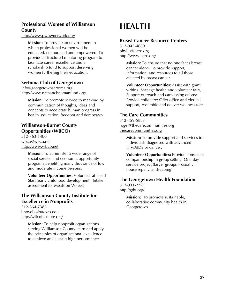# **Professional Women of Williamson County**

http://www.pwownetwork.org/

**Mission:** To provide an environment in which professional women will be educated, encouraged and empowered. To provide a structured mentoring program to facilitate career excellence and a scholarship fund to support deserving women furthering their education.

#### **Sertoma Club of Georgetown**

info@georgetownsertoma.org http://www.nathanchapmanfund.org/

> **Mission:** To promote service to mankind by communication of thoughts, ideas and concepts to accelerate human progress in health, education, freedom and democracy.

### **Williamson-Burnet County Opportunities (WBCO)**

512-763-1400 wbco@wbco.net http://www.wbco.net

> **Mission:** To administer a wide range of social service and economic opportunity programs benefiting many thousands of low and moderate income persons.

**Volunteer Opportunities:** Volunteer at Head Start (early childhood development); Intake assessment for Meals on Wheels

# **The Williamson County Institute for Excellence in Nonprofits**

512-864-7387 bnovello@utexas.edu http://wilcoinstitute.org/

> **Mission:** To help nonprofit organizations serving Williamson County learn and apply the principles of organizational excellence to achieve and sustain high performance.

# **HEALTH**

#### **Breast Cancer Resource Centers**

512-942-4689 phyllis@bcrc.org http://www.bcrc.org/

> **Mission:** To ensure that no one faces breast cancer alone. To provide support, information, and resources to all those affected by breast cancer.

**Volunteer Opportunities:** Assist with grant writing; Manage health and volunteer fairs; Support outreach and canvassing efforts; Provide childcare; Offer office and clerical support; Assemble and deliver wellness totes

#### **The Care Communities**

512-459-5883 roger@thecarecommunities.org thecarecommunities.org

> **Mission:** To provide support and services for individuals diagnosed with advanced HIV/AIDS or cancer.

> **Volunteer Opportunities:** Provide consistent companionship in group setting; One-day service project (larger groups – usually house repair, landscaping)

# **The Georgetown Health Foundation**

512-931-2221 http://gthf.org/

> **Mission:** To promote sustainable, collaborative community health in Georgetown.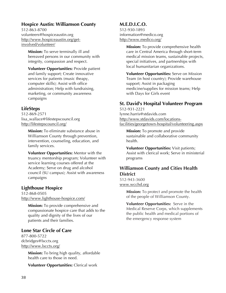#### **Hospice Austin: Williamson County**

512-863-8700 volunteers@hospiceaustin.org http://www.hospiceaustin.org/getinvolved/volunteer/

> **Mission:** To serve terminally ill and bereaved persons in our community with integrity, compassion and respect.

> **Volunteer Opportunities:** Provide patient and family support; Create innovative services for patients (music theapy, computer skills); Assist with office administration; Help with fundraising, marketing, or community awareness campaigns

# **LifeSteps**

512-869-2571 lisa\_wallace@lifestepscouncil.org http://lifestepscouncil.org/

> **Mission:** To eliminate substance abuse in Williamson County through prevention, intervention, counseling, education, and family services.

**Volunteer Opportunities:** Mentor with the truancy mentorship program; Volunteer with service learning courses offered at the Academy; Serve on drug and alcohol council (SU campus); Assist with awareness campaigns

# **Lighthouse Hospice**

512-868-0505 http://www.lighthouse-hospice.com/

> **Mission:** To provide comprehensive and compassionate hospice care that adds to the quality and dignity of the lives of our patients and their families.

# **Lone Star Circle of Care**

877-800-5722 dcbridges@lscctx.org http://www.lscctx.org/

> **Mission:** To bring high quality, affordable health care to those in need.

**Volunteer Opportunities:** Clerical work

# **M.E.D.I.C.O.**

512-930-1893 information@medico.org http://www.medico.org/

> **Mission:** To provide comprehensive health care in Central America through short-term medical mission teams, sustainable projects, special initiatives, and partnerships with local humanitarian organizations.

**Volunteer Opportunities:** Serve on Mission Team (in host country); Provide warehouse support; Assist in packaging medicine/supplies for mission teams; Help with Days for Girls event

# **St. David's Hospital Volunteer Program**

512-931-2221 lynne.harris@stdavids.com http://www.stdavids.com/locationsfacilities/georgetown-hospital/volunteering.aspx

**Mission:** To promote and provide sustainable and collaborative community health.

**Volunteer Opportunities:** Visit patients; Assist with clerical work; Serve in ministerial programs

### **Williamson County and Cities Health District**

512-943-3600 www.wcchd.org

> **Mission:** To protect and promote the health of the people of Williamson County.

**Volunteer Opportunities:** Serve in the Medical Reserve Corps, which supplements the public health and medical portions of the emergency response system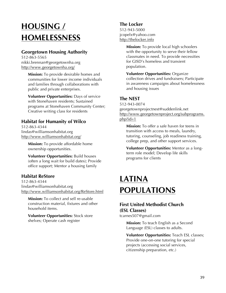# **HOUSING / HOMELESSNESS**

# **Georgetown Housing Authority**

512-863-5565 nikki.brennan@georgetownha.org http://www.georgetownha.org/

> **Mission:** To provide desirable homes and communities for lower income individuals and families through collaborations with public and private enterprises.

**Volunteer Opportunities:** Days of service with Stonehaven residents; Sustained programs at Stonehaven Community Center; Creative writing class for residents

# **Habitat for Humanity of Wilco**

512-863-4344 lindas@williamsonhabitat.org http://www.williamsonhabitat.org/

> **Mission:** To provide affordable home ownership opportunities.

**Volunteer Opportunities:** Build houses (often a long wait for build dates); Provide office support; Mentor a housing family

# **Habitat ReStore**

512-863-4344 lindas@williamsonhabitat.org http://www.williamsonhabitat.org/ReStore.html

**Mission:** To collect and sell re-usable construction material, fixtures and other household items.

**Volunteer Opportunities:** Stock store shelves; Operate cash register

# **The Locker**

512-943-5000 jcopelx@yahoo.com http://thelocker.info

> **Mission:** To provide local high schoolers with the opportunity to serve their fellow classmates in need. To provide necessities for GISD's homeless and transient population.

**Volunteer Opportunities:** Organize collection drives and fundraisers; Participate in awareness campaigns about homelessness and housing issues

# **The NEST**

512-943-0074 georgetownprojectnest@suddenlink.net http://www.georgetownproject.org/subprograms. php?id=1

**Mission:** To offer a safe haven for teens in transition with access to meals, laundry, tutoring, counseling, job readiness training, college prep, and other support services.

**Volunteer Opportunities:** Mentor as a longterm role model; Develop life skills programs for clients

# **LATINA POPULATIONS**

# **First United Methodist Church (ESL Classes)**

tcarnes507@gmail.com

**Mission:** To teach English as a Second Language (ESL) classes to adults.

**Volunteer Opportunities:** Teach ESL classes; Provide one-on-one tutoring for special projects (accessing social services, citizenship preparation, etc.)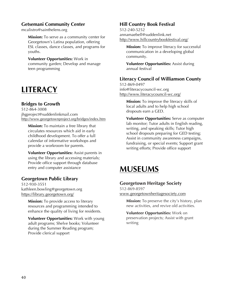### **Getsemani Community Center**

mcalixtro@sainthelens.org

**Mission:** To serve as a community center for Georgetown's Latina population, offering ESL classes, dance classes, and programs for youths.

**Volunteer Opportunities:** Work in community garden; Develop and manage teen programming

# **LITERACY**

# **Bridges to Growth**

512-864-3008 jhgproject@suddenlinkmail.com http://www.georgetownproject.org/bridges/index.htm

**Mission:** To maintain a free library that circulates resources which aid in early childhood development. To offer a full calendar of informative workshops and provide a workroom for parents.

**Volunteer Opportunities:** Assist parents in using the library and accessing materials; Provide office support through database entry and computer assistance

# **Georgetown Public Library**

512-930-3551 kathleen.bowling@georgetown.org https://library.georgetown.org/

> **Mission:** To provide access to literary resources and programming intended to enhance the quality of living for residents.

**Volunteer Opportunities:** Work with young adult programs; Shelve books; Volunteer during the Summer Reading program; Provide clerical support

# **Hill Country Book Festival**

512-240-5252 annamaebell@suddenlink.net http://www.hillcountrybookfestival.org/

**Mission:** To improve literacy for successful communication in a developing global community.

**Volunteer Opportunities:** Assist during annual festival

# **Literacy Council of Williamson County**

512-869-0497 info@literacycouncil-wc.org http://www.literacycouncil-wc.org/

> **Mission:** To improve the literacy skills of local adults and to help high school dropouts earn a GED.

**Volunteer Opportunities:** Serve as computer lab monitor; Tutor adults in English reading, writing, and speaking skills; Tutor high school dropouts preparing for GED testing; Assist in community awareness campaigns, fundraising, or special events; Support grant writing efforts; Provide office support

# **MUSEUMS**

# **Georgetown Heritage Society**

512-869-8597 www.georgetownheritagesociety.com

**Mission:** To preserve the city's history, plan new activities, and revive old activities.

**Volunteer Opportunities:** Work on preservation projects; Assist with grant writing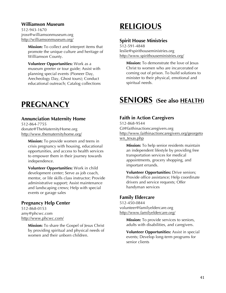#### **Williamson Museum**

512-943-1670 jross@williamsonmuseum.org http://williamsonmuseum.org/

> **Mission:** To collect and interpret items that promote the unique culture and heritage of Williamson County.

**Volunteer Opportunities:** Work as a museum greeter or tour guide; Assist with planning special events (Pioneer Day, Arecheology Day, Ghost tours); Conduct educational outreach; Catalog collections

# **PREGNANCY**

#### **Annunciation Maternity Home**

512-864-7755 donate@TheMaternityHome.org http://www.thematernityhome.org/

> **Mission:** To provide women and teens in crisis pregnancy with housing, educational opportunities, and access to health services to empower them in their journey towards independence.

**Volunteer Opportunities:** Work in child development center; Serve as job coach, mentor, or life skills class instructor; Provide administrative support; Assist maintenance and landscaping crews; Help with special events or garage sales

#### **Pregnancy Help Center**

512-868-0153 amy@phcwc.com http://www.phcwc.com/

> **Mission:** To share the Gospel of Jesus Christ by providing spiritual and physical needs of women and their unborn children.

# **RELIGIOUS**

#### **Spirit House Ministries**

512-591-4848 leslie@spirithouseministries.org http://www.spirithouseministries.org/

**Mission:** To demonstrate the love of Jesus Christ to women who are incarcerated or coming out of prison. To build solutions to minister to their physical, emotional and spiritual needs.

# **SENIORS (See also HEALTH)**

#### **Faith in Action Caregivers**

512-868-9544 Gt@faithinactioncaregivers.org http://www.faithinactioncaregivers.org/georgeto wn\_texas.php

**Mission:** To help senior residents maintain an independent lifestyle by providing free transportation services for medical appointments, grocery shopping, and important errands.

**Volunteer Opportunities:** Drive seniors; Provide office assistance; Help coordinate drivers and service requests; Offer handyman services

#### **Family Eldercare**

512-450-0844 volunteer@familyeldercare.org http://www.familyeldercare.org/

> **Mission:** To provide services to seniors, adults with disabilities, and caregivers.

**Volunteer Opportunities:** Assist in special events; Develop long-term programs for senior clients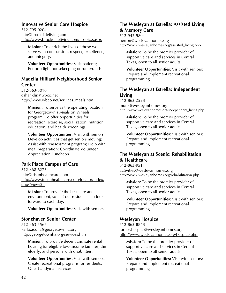# **Innovative Senior Care Hospice**

512-795-0204 info@brookdaleliving.com http://www.brookdaleliving.com/hospice.aspx

**Mission:** To enrich the lives of those we serve with compassion, respect, excellence, and integrity.

**Volunteer Opportunities:** Visit patients; Perform light housekeeping or run errands

# **Madella Hilliard Neighborhood Senior Center**

512-863-5010 dshanklin@wbco.net http://www.wbco.net/services\_meals.html

**Mission:** To serve as the operating location for Georgetown's Meals on Wheels program. To offer opportunities for recreation, exercise, socialization, nutrition education, and health screenings.

**Volunteer Opportunities:** Visit with seniors; Develop activities that get seniors moving; Assist with reassessment program; Help with meal preparation; Coordinate Volunteer Appreciation Luncheon

# **Park Place Campus of Care**

512-868-6275 info@trisunhealthcare.com http://www.trisunhealthcare.com/locator/index. php?/view/24

**Mission:** To provide the best care and environment, so that our residents can look forward to each day.

**Volunteer Opportunities:** Visit with seniors

#### **Stonehaven Senior Center**

512-863-5565 karla.acuna@georgetownha.org http://georgetownha.org/services.htm

> **Mission:** To provide decent and safe rental housing for eligible low-income families, the elderly, and persons with disabilities.

**Volunteer Opportunities:** Visit with seniors; Create recreational programs for residents; Offer handyman services

# **The Wesleyan at Estrella: Assisted Living & Memory Care**

512-943-9804 herron@wesleyanhomes.org http://www.wesleyanhomes.org/assisted\_living.php

**Mission:** To be the premier provider of supportive care and services in Central Texas, open to all senior adults.

**Volunteer Opportunities:** Visit with seniors; Prepare and implement recreational programming

# **The Wesleyan at Estrella: Independent Living**

512-863-2528 munk@wesleyanhomes.org http://www.wesleyanhomes.org/independent\_living.php

**Mission:** To be the premier provider of supportive care and services in Central Texas, open to all senior adults.

**Volunteer Opportunities:** Visit with seniors; Prepare and implement recreational programming

# **The Wesleyan at Scenic: Rehabilitation & Healthcare**

512-863-9511 activities@wesleyanhomes.org http://www.wesleyanhomes.org/rehabilitation.php

**Mission:** To be the premier provider of supportive care and services in Central Texas, open to all senior adults.

**Volunteer Opportunities:** Visit with seniors; Prepare and implement recreational programming

# **Wesleyan Hospice**

512-863-8848 turner.hospice@wesleyanhomes.org http://www.wesleyanhomes.org/hospice.php

**Mission:** To be the premier provider of supportive care and services in Central Texas, open to all senior adults.

**Volunteer Opportunities:** Visit with seniors; Prepare and implement recreational programming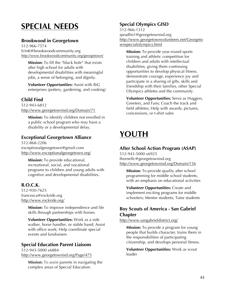# **SPECIAL NEEDS**

# **Brookwood in Georgetown**

512-966-7574 ErinK@brookwoodcommunity.org http://www.brookwoodcommunity.org/georgetown/

**Mission:** To fill the "black hole" that exists after high school for adults with developmental disabilities with meaningful jobs, a sense of belonging, and dignity.

**Volunteer Opportunities:** Assist with BiG enterprises (pottery, gardening, and cooking)

# **Child Find**

512-943-6812 http://www.georgetownisd.org/Domain/71

**Mission:** To identify children not enrolled in a public school program who may have a disability or a developmental delay.

# **Exceptional Georgetown Alliance**

512-868-2206 exceptionalgeorgetown@gmail.com http://www.exceptionalgeorgetown.org/

**Mission:** To provide educational, recreational, social, and vocational programs to children and young adults with cognitive and developmental disabilities.

# **R.O.C.K.**

512-930-7625 francesca@rockride.org http://www.rockride.org/

> **Mission:** To improve independence and life skills through partnerships with horses.

**Volunteer Opportunities:** Work as a side walker, horse handler, or stable hand; Assist with office work; Help coordinate special events and fundraisers

#### **Special Education Parent Liaisons**

512-943-5000 x6884 http://www.georgetownisd.org/Page/475

**Mission:** To assist parents in navigating the complex areas of Special Education.

# **Special Olympics GISD**

512-966-1312 spradlin1@georgetownisd.org http://www.georgetownvolunteers.net/Georgeto wnspecialolympics.html

**Mission:** To provide year-round sports training and athletic competition for children and adults with intellectual disabilities, giving them continuing opportunities to develop physical fitness, demonstrate courage, experience joy and participate in a sharing of gifts, skills and friendship with their families, other Special Olympics athletes and the community.

**Volunteer Opportunities:** Serve as Huggers, Greeters, and Fans; Coach the track and field athletes; Help with awards, pictures, concessions, or t-shirt sales

# **YOUTH**

# **After School Action Program (ASAP)**

512-943-5000 x6925 thornellc@georgetownisd.org http://www.georgetownisd.org/Domain/156

**Mission:** To provide quality after school programming for middle school students, with an emphasis on educational activities

**Volunteer Opportunities:** Create and implement exciting programs for middle schoolers; Mentor students; Tutor students

# **Boy Scouts of America - San Gabriel Chapter**

http://www.sangabrieldistrict.org/

**Mission:** To provide a program for young people that builds character, trains them in the responsibilities of participating citizenship, and develops personal fitness.

**Volunteer Opportunities:** Work as scout leader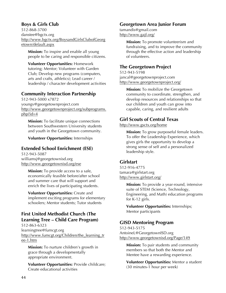### **Boys & Girls Club**

512-868-3700 danstee@bgctx.org http://www.bgctx.org/BoysandGirlsClubofGeorg etown/default.aspx

**Mission:** To inspire and enable all young people to be caring and responsible citizens.

**Volunteer Opportunities:** Homework tutoring; Mentor; Volunteer with Garden Club; Develop new programs (computers, arts and crafts, athletics); Lead career / leadership / character development activities

# **Community Interaction Partnership**

512-943-5000 x7872 youngv@georgetownproject.com http://www.georgetownproject.org/subprograms. php?id=4

**Mission:** To facilitate unique connections between Southwestern University students and youth in the Georgetown community.

**Volunteer Opportunities:** Internships

# **Extended School Enrichment (ESE)**

512-943-5087 williamsj@georgetownisd.org http://www.georgetownisd.org/ese

> **Mission:** To provide access to a safe, economically feasible before/after school and summer care that will support and enrich the lives of participating students.

**Volunteer Opportunities:** Create and implement exciting programs for elementary schoolers; Mentor students; Tutor students

# **First United Methodist Church (The Learning Tree – Child Care Program)**

512-863-6323 learningtree@fumcgt.org http://www.fumcgt.org/Children/the\_learning\_tr ee-1.htm

**Mission:** To nurture children's growth in grace through a developmentally appropriate environment.

**Volunteer Opportunities:** Provide childcare; Create educational activities

#### **Georgetown Area Junior Forum**

tamandis@gmail.com http://www.gajf.org/

> **Mission:** To promote volunteerism and fundraising, and to improve the community through the effective action and leadership of volunteers.

### **The Georgetown Project**

512-943-5198 jancal@georgetownproject.com http://www.georgetownproject.org/

> **Mission:** To mobilize the Georgetown community to coordinate, strengthen, and develop resources and relationships so that our children and youth can grow into capable, caring, and resilient adults

# **Girl Scouts of Central Texas**

http://www.gsctx.org/home

**Mission:** To grow purposeful female leaders. To offer the Leadership Experience, which gives girls the opportunity to develop a strong sense of self and a personalized leadership style.

# **Girlstart**

512-916-4775 tamara@girlstart.org http://www.girlstart.org/

> **Mission:** To provide a year-round, intensive suite of STEM (Science, Technology, Engineering, and Math) education programs for K-12 girls.

**Volunteer Opportunities:** Internships; Mentor participants

# **GISD Mentoring Program**

512-943-5175 AntoineL@GeorgetownISD.org http://www.georgetownisd.org/Page/149

**Mission:** To pair students and community members so that both the Mentor and Mentee have a rewarding experience.

**Volunteer Opportunities:** Mentor a student (30 minutes-1 hour per week)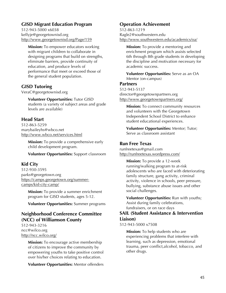# **GISD Migrant Education Program**

512-943-5000 x6038 kellyje@georgetownisd.org http://www.georgetownisd.org/Page/159

**Mission:** To empower educators working with migrant children to collaborate in designing programs that build on strengths, eliminate barriers, provide continuity of education, and produce levels of performance that meet or exceed those of the general student population.

#### **GISD Tutoring**

VeraC@georgetownisd.org

**Volunteer Opportunities:** Tutor GISD students (a variety of subject areas and grade levels are available)

# **Head Start**

512-863-5259 marybaileyhs@wbco.net http://www.wbco.net/services.html

> **Mission:** To provide a comprehensive early child development program.

**Volunteer Opportunities:** Support classroom

# **Kid City**

512-930-3595 parks@georgetown.org https://camps.georgetown.org/summercamps/kid-city-camp/

**Mission:** To provide a summer enrichment program for GISD students, ages 5-12.

**Volunteer Opportunities:** Summer programs

# **Neighborhood Conference Committee (NCC) of Williamson County**

512-943-3216 ncc@wilco.org http://ncc.wilco.org/

> **Mission:** To encourage active membership of citizens to improve the community by empowering youths to take positive control over his/her choices relating to education.

> **Volunteer Opportunities:** Mentor offenders

# **Operation Achievement**

512-863-1219 Ragle2@southwestern.edu http://www.southwestern.edu/academics/oa/

**Mission:** To provide a mentoring and enrichment program which assists selected 6th through 8th grade students in developing the discipline and motivation necessary for academic success.

**Volunteer Opportunities:** Serve as an OA Mentor (on-campus)

#### **Partners**

512-943-5137 director@georgetownpartners.org http://www.georgetownpartners.org/

> **Mission:** To connect community resources and volunteers with the Georgetown Independent School District to enhance student educational experiences.

**Volunteer Opportunities:** Mentor; Tutor; Serve as classroom assistant

# **Run Free Texas**

runfreetexas@gmail.com http://runfreetexas.wordpress.com/

> **Mission:** To provide a 12-week running/walking program to at-risk adolescents who are faced with deteriorating family structure, gang activity, criminal activity, violence in schools, peer pressure, bullying, substance abuse issues and other social challenges.

**Volunteer Opportunities:** Run with youths; Assist during family celebrations, fundraisers, or on race days

#### **SAIL (Student Assistance & Intervention Liaison)**

512-943-5000 x7508

**Mission:** To help students who are experiencing problems that interfere with learning, such as depression, emotional trauma, peer conflict,alcohol, tobacco, and other drugs.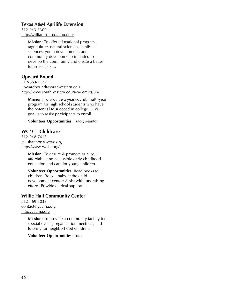#### **Texas A&M Agrilife Extension**

512-943-3300 http://williamson-tx.tamu.edu/

> **Mission:** To offer educational programs (agriculture, natural sciences, family sciences, youth development, and community development) intended to develop the community and create a better future for Texas.

### **Upward Bound**

512-863-1177 upwardbound@southwestern.edu http://www.southwestern.edu/academics/ub/

**Mission:** To provide a year-round, multi-year program for high school students who have the potential to succeed in college. UB's goal is to assist participants to enroll.

**Volunteer Opportunities:** Tutor; Mentor

### **WC4C - Childcare**

512-948-7618 ms.shannon@wc4c.org http://www.wc4c.org/

> **Mission:** To ensure & promote quality, affordable and accessible early childhood education and care for young children.

**Volunteer Opportunities:** Read books to children; Rock a baby at the child development center; Assist with fundraising efforts; Provide clerical support

#### **Willie Hall Community Center**

512-869-1033 contact@gccma.org http://gccma.org

> **Mission:** To provide a community facility for special events, organization meetings, and tutoring for neighborhood children.

**Volunteer Opportunities:** Tutor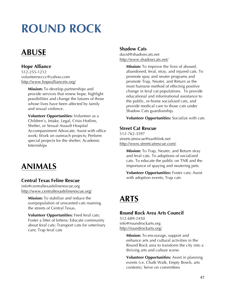# **ROUND ROCK**

# **ABUSE**

# **Hope Alliance**

512-255-1212 volunteerwccc@yahoo.com http://www.hopealliancetx.org/

> **Mission:** To develop partnerships and provide services that renew hope, highlight possibilities and change the futures of those whose lives have been affected by family and sexual violence.

**Volunteer Opportunities:** Volunteer as a Children's, Intake, Legal, Crisis Hotline, Shelter, or Sexual Assault Hospital Accompaniment Advocate; Assist with office work; Work on outreach projects; Perform special projects for the shelter; Academic Internships

# **ANIMALS**

# **Central Texas Feline Rescue**

info@centraltexasfelinerescue.org http://www.centraltexasfelinerescue.org/

**Mission:** To stabilize and reduce the overpopulation of unwanted cats roaming the streets of Central Texas.

**Volunteer Opportunities:** Feed feral cats; Foster a litter of kittens; Educate community about feral cats; Transport cats for veterinary care; Trap feral cats

#### **Shadow Cats**

david@shadowcats.net http://www.shadowcats.net/

> **Mission:** To improve the lives of abused, abandoned, feral, stray, and injured cats. To promote spay and neuter programs and promote Trap, Neuter, and Return as the most humane method of effecting positive change in feral cat populations. To provide educational and informational assistance to the public, re-home socialized cats, and provide medical care to those cats under Shadow Cats guardianship.

> **Volunteer Opportunities:** Socialize with cats

#### **Street Cat Rescue**

512-762-3597 streetcatrescue@earthlink.net http://www.streetcatrescue.com/

> **Mission:** To Trap, Neuter, and Return stray and feral cats. To adoptions of socialized cats. To educate the public on TNR and the importance of spaying and neutering pets.

> **Volunteer Opportunities:** Foster cats; Assist with adoption events; Trap cats

# **ARTS**

#### **Round Rock Area Arts Council**

512-689-2450 info@roundrockarts.org http://roundrockarts.org/

> **Mission:** To encourage, support and enhance arts and cultural activities in the Round Rock area to transform the city into a thriving arts and culture scene.

**Volunteer Opportunities:** Assist in planning events (i.e. Chalk Walk, Empty Bowls, arts contests); Serve on committees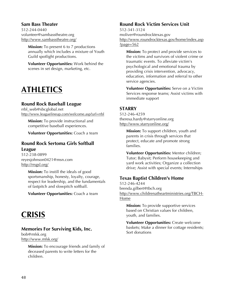#### **Sam Bass Theater**

512-244-0440 volunteer@sambasstheatre.org http://www.sambasstheatre.org/

> **Mission:** To present 6 to 7 productions annually which includes a mixture of Youth Guild spotlight productions.

**Volunteer Opportunities:** Work behind the scenes in set design, marketing, etc.

# **ATHLETICS**

#### **Round Rock Baseball League**

rrbl\_web@sbcglobal.net http://www.leaguelineup.com/welcome.asp?url=rrbl

**Mission:** To provide instructional and competitive baseball experiences.

**Volunteer Opportunities:** Coach a team

#### **Round Rock Sertoma Girls Softball League**

512-238-0899 reyesjohnson0421@msn.com http://rrsgsl.org/

> **Mission:** To instill the ideals of good sportsmanship, honesty, loyalty, courage, respect for leadership, and the fundamentals of fastpitch and slowpitch softball.

**Volunteer Opportunities:** Coach a team

# **CRISIS**

#### **Memories For Surviving Kids, Inc.**

bob@mfsk.org http://www.mfsk.org/

> **Mission:** To encourage friends and family of deceased parents to write letters for the children.

### **Round Rock Victim Services Unit**

512-341-3124 moliver@roundrocktexas.gov http://www.roundrocktexas.gov/home/index.asp ?page=562

**Mission:** To protect and provide services to the victims and survivors of violent crime or traumatic events. To alleviate victim's psychological and emotional trauma by providing crisis intervention, advocacy, education, information and referral to other service agencies.

**Volunteer Opportunities:** Serve on a Victim Services response teams; Assist victims with immediate support

# **STARRY**

512-246-4259 theresa.hardy@starryonline.org http://www.starryonline.org/

> **Mission:** To support children, youth and parents in crisis through services that protect, educate and promote strong families.

**Volunteer Opportunities:** Mentor children; Tutor; Babysit; Perform housekeeping and yard work activities; Organize a collection drive; Assist with special events; Internships

# **Texas Baptist Children's Home**

512-246-4244 brenda.gilbert@tbch.org http://www.childrenatheartministries.org/TBCH-Home

**Mission:** To provide supportive services based on Christian values for children, youth, and families.

**Volunteer Opportunities:** Create welcome baskets; Make a dinner for cottage residents; Sort donations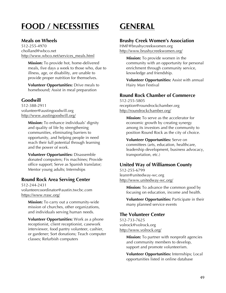# **FOOD / NECESSITIES**

#### **Meals on Wheels**

512-255-4970 cholland@wbco.net http://www.wbco.net/services\_meals.html

**Mission:** To provide hot, home-delivered meals, five days a week to those who, due to illness, age, or disability, are unable to provide proper nutrition for themselves.

**Volunteer Opportunities:** Drive meals to homebound; Assist in meal preparation

#### **Goodwill**

512-388-2911 volunteer@austingoodwill.org http://www.austingoodwill.org/

> **Mission:** To enhance individuals' dignity and quality of life by strengthening communities, eliminating barriers to opportunity, and helping people in need reach their full potential through learning and the power of work.

**Volunteer Opportunities:** Disassemble donated computers; Fix machines; Provide office support; Serve as Spanish translator; Mentor young adults; Internships

#### **Round Rock Area Serving Center**

512-244-2431 volunteercoordinator@austin.twcbc.com https://www.rrasc.org/

**Mission:** To carry out a community-wide mission of churches, other organizations, and individuals serving human needs.

**Volunteer Opportunities:** Work as a phone receptionist, client receptionist, casework interviewer, food pantry volunteer, cashier, or gardener; Sort donations; Teach computer classes; Refurbish computers

# **GENERAL**

#### **Brushy Creek Women's Association**

HMF@brushycreekwomen.org http://www.brushycreekwomen.org/

> **Mission:** To provide women in the community with an opportunity for personal enrichment through community service, knowledge and friendship.

> **Volunteer Opportunities:** Assist with annual Hairy Man Festival

#### **Round Rock Chamber of Commerce**

512-255-5805 reception@roundrockchamber.org http://roundrockchamber.org/

> **Mission:** To serve as the accelerator for economic growth by creating synergy among its investors and the community to position Round Rock as the city of choice.

**Volunteer Opportunities:** Serve on committees (arts, education, healthcare, leadership development, business advocacy, transportation, etc.)

#### **United Way of Williamson County**

512-255-6799 leann@unitedway-wc.org http://www.unitedway-wc.org/

> **Mission:** To advance the common good by focusing on education, income and health.

**Volunteer Opportunities:** Participate in their many planned service events

#### **The Volunteer Center**

512-733-7625 volrock@volrock.org http://www.volrock.org/

> **Mission:** To partner with nonprofit agencies and community members to develop, support and promote volunteerism.

> **Volunteer Opportunities:** Internships; Local opportunities listed in online database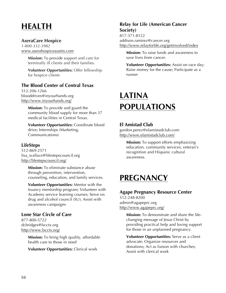# **HEALTH**

#### **AseraCare Hospice**

1-800-332-3982 www.aserahospiceaustin.com

> **Mission:** To provide support and care for terminally ill clients and their families.

**Volunteer Opportunities:** Offer fellowship for hospice clients

# **The Blood Center of Central Texas**

512-206-1266 blooddrives@inyourhands.org http://www.inyourhands.org/

> **Mission:** To provide and guard the community blood supply for more than 37 medical facilities in Central Texas.

**Volunteer Opportunities:** Coordinate blood drive; Internships (Marketing, Communications)

# **LifeSteps**

512-869-2571 lisa\_wallace@lifestepscouncil.org http://lifestepscouncil.org/

> **Mission:** To eliminate substance abuse through prevention, intervention, counseling, education, and family services.

**Volunteer Opportunities:** Mentor with the truancy mentorship program; Volunteer with Academy service learning courses; Serve on drug and alcohol council (SU); Assist with awareness campaigns

# **Lone Star Circle of Care**

877-800-5722 dcbridges@lscctx.org http://www.lscctx.org/

> **Mission:** To bring high quality, affordable health care to those in need

**Volunteer Opportunities:** Clerical work

# **Relay for Life (American Cancer Society)**

817-371-8122 addison.ramirez@cancer.org http://www.relayforlife.org/getinvolved/index

**Mission:** To raise funds and awareness to save lives from cancer.

**Volunteer Opportunities:** Assist on race day; Raise money for the cause; Participate as a runner

# **LATINA POPULATIONS**

# **El Amistad Club**

gordon.perez@elamistadclub.com http://www.elamistadclub.com/

> **Mission:** To support efforts emphasizing education, community services, veteran's recognition and Hispanic cultural awareness.

# **PREGNANCY**

# **Agape Pregnancy Resource Center**

512-248-8200 admin@agapeprc.org http://www.agapeprc.org/

> **Mission:** To demonstrate and share the lifechanging message of Jesus Christ by providing practical help and loving support for those in an unplanned pregnancy.

**Volunteer Opportunities:** Serve as a client advocate; Organize resources and donations; Act as liaison with churches; Assist with clerical work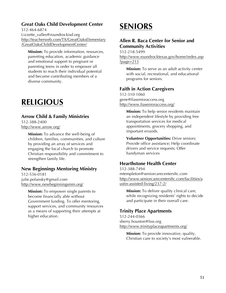# **Great Oaks Child Development Center**

512-464-6874 Lizzette\_valles@roundrockisd.org http://teacherweb.com/TX/GreatOaksElementary /GreatOaksChildDevelopmentCenter/

**Mission:** To provide information, resources, parenting education, academic guidance and emotional support to pregnant or parenting teens in order to empower all students to reach their individual potential and become contributing members of a diverse community.

# **RELIGIOUS**

#### **Arrow Child & Family Ministries**

512-388-2400 http://www.arrow.org/

> **Mission:** To advance the well-being of children, families, communities, and culture by providing an array of services and engaging the local church to promote Christian responsibility and commitment to strengthen family life.

#### **New Beginnings Mentoring Ministry**

512-536-0181 julie.polansky@gmail.com http://www.newbeginningsmm.org/

> **Mission:** To empower single parents to become financially able without Government funding. To offer mentoring, support services, and community resources as a means of supporting their attempts at higher education.

# **SENIORS**

# **Allen R. Baca Center for Senior and Community Activities**

512-218-5499 http://www.roundrocktexas.gov/home/index.asp ?page=213

**Mission:** To serve as an adult activity center with social, recreational, and educational programs for seniors.

# **Faith in Action Caregivers**

512-310-1060 gene@fiasenioraccess.org http://www.fiasenioraccess.org/

> **Mission:** To help senior residents maintain an independent lifestyle by providing free transportation services for medical appointments, grocery shopping, and important errands.

> **Volunteer Opportunities:** Drive seniors; Provide office assistance; Help coordinate drivers and service requests; Offer handyman services

# **Hearthstone Health Center**

512-388-7494 mtempleton@seniorcarecentersltc.com http://www.seniorcarecentersltc.com/facilities/a ustin-assisted-living/237-2/

**Mission:** To deliver quality clinical care, while recognizing residents' rights to decide and participate in their overall care.

#### **Trinity Place Apartments**

512-244-0366 sherry.houston@lsss.org http://www.trinityplaceapartments.org/

**Mission:** To provide innovative, quality, Christian care to society's most vulnerable.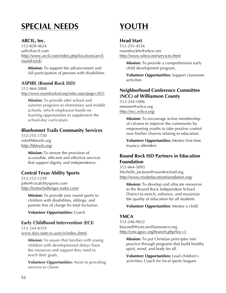# **SPECIAL NEEDS**

### **ARCIL, Inc.**

512-828-4624 sally@arcil.com http://www.arcil.com/index.php/locations/arcilround-rock/

**Mission:** To support the advancement and full participation of persons with disabilities.

#### **ASPIRE (Round Rock ISD)**

512-464-5008 http://www.roundrockisd.org/index.aspx?page=3031

**Mission:** To provide after school and summer programs to elementary and middle schools, which emphasize hands-on learning opportunities to supplement the school-day curriculum.

### **Bluebonnet Trails Community Services**

512-255-1720 info@bbtrails.org http://bbtrails.org/

> **Mission:** To ensure the provision of accessible, efficient and effective services that support dignity and independence.

#### **Central Texas Ability Sports**

512-212-1259 john@ctxabilitysports.com http://huttochallenger.webs.com/

> **Mission:** To provide year round sports to children with disabilities, siblings, and parents free of charge for total Inclusion.

**Volunteer Opportunities:** Coach

# **Early Childhood Intervention (ECI)**

512-244-8359 www.dars.state.tx.us/ecis/index.shtml

**Mission:** To assure that families with young children with developmental delays have the resources and support they need to reach their goals.

**Volunteer Opportunities:** Assist in providing services to clients

# **YOUTH**

#### **Head Start**

512-255-4536 roundrockhs@wbco.net http://www.wbco.net/services.html

> **Mission:** To provide a comprehensive early child development program.

**Volunteer Opportunities:** Support classroom activities

# **Neighborhood Conference Committee (NCC) of Williamson County**

512-244-1006 mminer@wilco.org http://ncc.wilco.org/

> **Mission:** To encourage active membership of citizens to improve the community by empowering youths to take positive control over his/her choices relating to education.

> **Volunteer Opportunities:** Mentor first-time truancy offenders

### **Round Rock ISD Partners in Education Foundation**

512-464-5093 Michelle\_Jackson@roundrockisd.org http://www.rrisdeducationfoundation.org/

**Mission:** To develop and allocate resources to the Round Rock Independent School District to enrich, enhance, and maximize the quality of education for all students.

**Volunteer Opportunities:** Mentor a child

# **YMCA**

512-246-9622 klaywell@ymcawilliamsonco.org http://ymcagwc.org/branch.php?loc=3

**Mission:** To put Christian principles into practice through programs that build healthy spirit, mind, and body for all.

**Volunteer Opportunities:** Lead children's activities; Coach for local sports leagues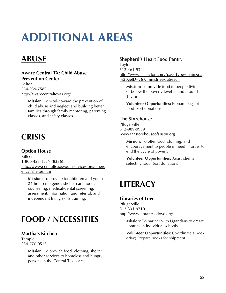# **ADDITIONAL AREAS**

# **ABUSE**

#### **Aware Central TX: Child Abuse Prevention Center** Belton 254-939-7582 http://awarecentraltexas.org/

**Mission:** To work toward the prevention of child abuse and neglect and building better families through family mentoring, parenting classes, and safety classes.

# **CRISIS**

# **Option House**

Killeen 1-800-421-TEEN (8336) http://www.centraltexasyouthservices.org/emerg ency\_shelter.htm

**Mission:** To provide for children and youth 24-hour emergency shelter care, food, counseling, medical/dental screening, assessment, information and referral, and independent living skills training.

# **FOOD / NECESSITIES**

# **Martha's Kitchen**

Temple 254-770-0515

> **Mission:** To provide food, clothing, shelter and other services to homeless and hungry persons in the Central Texas area.

# **Shepherd's Heart Food Pantry**

Taylor 512-461-9342 http://www.cfctaylor.com/?pageType=main&pa %20geID=26#/ministries/outreach

**Mission:** To provide food to people living at or below the poverty level in and around Taylor.

**Volunteer Opportunities:** Prepare bags of food; Sort donations

# **The Storehouse**

Pflugerville 512-989-9989 www.thestorehouseofaustin.org

> **Mission:** To offer food, clothing, and encouragement to people in need in order to end the cycle of poverty.

**Volunteer Opportunities:** Assist clients in selecting food; Sort donations

# **LITERACY**

#### **Libraries of Love**

Pflugerville 512-331-9710 http://www.librariesoflove.org/

> **Mission:** To partner with Ugandans to create libraries in individual schools.

> **Volunteer Opportunities:** Coordinate a book drive; Prepare books for shipment